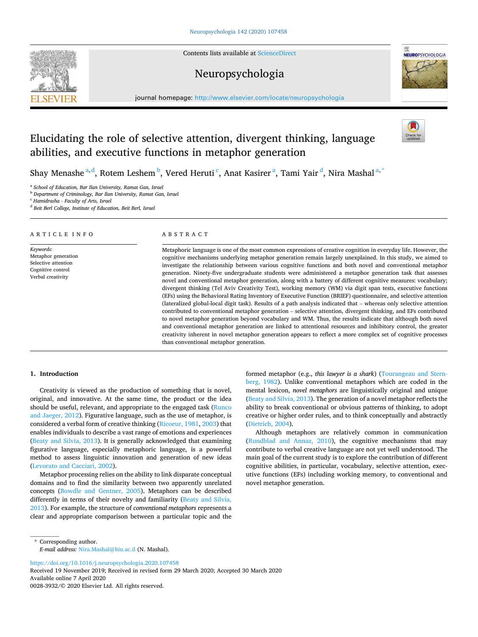Contents lists available at [ScienceDirect](www.sciencedirect.com/science/journal/00283932)

# Neuropsychologia

journal homepage: [http://www.elsevier.com/locate/neuropsychologia](https://http://www.elsevier.com/locate/neuropsychologia)

# Elucidating the role of selective attention, divergent thinking, language abilities, and executive functions in metaphor generation

Shay Menashe $^{\rm a,d}$ , Rotem Leshem $^{\rm b}$ , Vered Heruti $^{\rm c}$ , Anat Kasirer $^{\rm a}$ , Tami Yair $^{\rm d}$ , Nira Mashal $^{\rm a,*}$ 

<sup>a</sup> *School of Education, Bar Ilan University, Ramat Gan, Israel* 

<sup>b</sup> *Department of Criminology, Bar Ilan University, Ramat Gan, Israel* 

<sup>c</sup> *Hamidrasha - Faculty of Arts, Israel* 

<sup>d</sup> *Beit Berl College, Institute of Education, Beit Berl, Israel* 

# ARTICLE INFO

*Keywords:*  Metaphor generation Selective attention Cognitive control Verbal creativity

#### ABSTRACT

Metaphoric language is one of the most common expressions of creative cognition in everyday life. However, the cognitive mechanisms underlying metaphor generation remain largely unexplained. In this study, we aimed to investigate the relationship between various cognitive functions and both novel and conventional metaphor generation. Ninety-five undergraduate students were administered a metaphor generation task that assesses novel and conventional metaphor generation, along with a battery of different cognitive measures: vocabulary; divergent thinking (Tel Aviv Creativity Test), working memory (WM) via digit span tests, executive functions (EFs) using the Behavioral Rating Inventory of Executive Function (BRIEF) questionnaire, and selective attention (lateralized global-local digit task). Results of a path analysis indicated that – whereas only selective attention contributed to conventional metaphor generation – selective attention, divergent thinking, and EFs contributed to novel metaphor generation beyond vocabulary and WM. Thus, the results indicate that although both novel and conventional metaphor generation are linked to attentional resources and inhibitory control, the greater creativity inherent in novel metaphor generation appears to reflect a more complex set of cognitive processes than conventional metaphor generation.

# **1. Introduction**

Creativity is viewed as the production of something that is novel, original, and innovative. At the same time, the product or the idea should be useful, relevant, and appropriate to the engaged task (Runco [and Jaeger, 2012](#page-10-0)). Figurative language, such as the use of metaphor, is considered a verbal form of creative thinking ([Ricoeur, 1981, 2003\)](#page-10-0) that enables individuals to describe a vast range of emotions and experiences ([Beaty and Silvia, 2013\)](#page-9-0). It is generally acknowledged that examining figurative language, especially metaphoric language, is a powerful method to assess linguistic innovation and generation of new ideas ([Levorato and Cacciari, 2002](#page-10-0)).

Metaphor processing relies on the ability to link disparate conceptual domains and to find the similarity between two apparently unrelated concepts [\(Bowdle and Gentner, 2005](#page-9-0)). Metaphors can be described differently in terms of their novelty and familiarity [\(Beaty and Silvia,](#page-9-0)  [2013\)](#page-9-0). For example, the structure of *conventional metaphors* represents a clear and appropriate comparison between a particular topic and the formed metaphor (e.g., *this lawyer is a shark*) [\(Tourangeau and Stern](#page-10-0)[berg, 1982](#page-10-0)). Unlike conventional metaphors which are coded in the mental lexicon, *novel metaphors* are linguistically original and unique ([Beaty and Silvia, 2013](#page-9-0)). The generation of a novel metaphor reflects the ability to break conventional or obvious patterns of thinking, to adopt creative or higher order rules, and to think conceptually and abstractly ([Dietrich, 2004\)](#page-9-0).

Although metaphors are relatively common in communication ([Rundblad and Annaz, 2010](#page-10-0)), the cognitive mechanisms that may contribute to verbal creative language are not yet well understood. The main goal of the current study is to explore the contribution of different cognitive abilities, in particular, vocabulary, selective attention, executive functions (EFs) including working memory, to conventional and novel metaphor generation.

\* Corresponding author. *E-mail address:* [Nira.Mashal@biu.ac.il](mailto:Nira.Mashal@biu.ac.il) (N. Mashal).

<https://doi.org/10.1016/j.neuropsychologia.2020.107458>

Available online 7 April 2020 Received 19 November 2019; Received in revised form 29 March 2020; Accepted 30 March 2020

0028-3932/© 2020 Elsevier Ltd. All rights reserved.



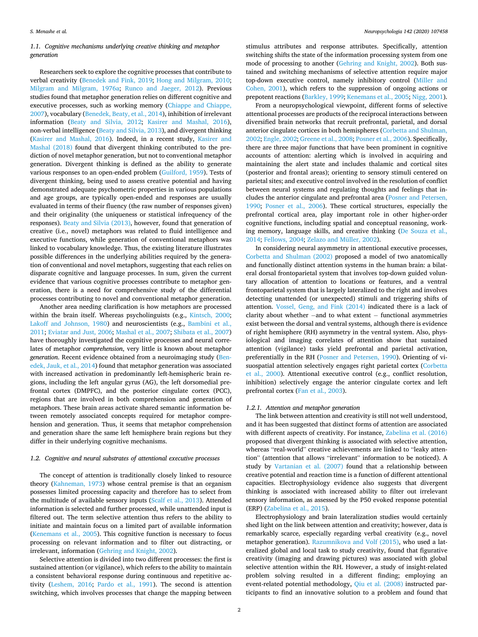# *1.1. Cognitive mechanisms underlying creative thinking and metaphor generation*

Researchers seek to explore the cognitive processes that contribute to verbal creativity [\(Benedek and Fink, 2019;](#page-9-0) [Hong and Milgram, 2010](#page-10-0); [Milgram and Milgram, 1976a;](#page-10-0) [Runco and Jaeger, 2012](#page-10-0)). Previous studies found that metaphor generation relies on different cognitive and executive processes, such as working memory [\(Chiappe and Chiappe,](#page-9-0)  [2007\)](#page-9-0), vocabulary [\(Benedek, Beaty, et al., 2014](#page-9-0)), inhibition of irrelevant information ([Beaty and Silvia, 2012](#page-9-0); [Kasirer and Mashal, 2016](#page-10-0)), non-verbal intelligence [\(Beaty and Silvia, 2013\)](#page-9-0), and divergent thinking ([Kasirer and Mashal, 2016](#page-10-0)). Indeed, in a recent study, [Kasirer and](#page-10-0)  [Mashal \(2018\)](#page-10-0) found that divergent thinking contributed to the prediction of novel metaphor generation, but not to conventional metaphor generation. Divergent thinking is defined as the ability to generate various responses to an open-ended problem ([Guilford, 1959\)](#page-10-0). Tests of divergent thinking, being used to assess creative potential and having demonstrated adequate psychometric properties in various populations and age groups, are typically open-ended and responses are usually evaluated in terms of their fluency (the raw number of responses given) and their originality (the uniqueness or statistical infrequency of the responses). [Beaty and Silvia \(2013\),](#page-9-0) however, found that generation of creative (i.e., novel) metaphors was related to fluid intelligence and executive functions, while generation of conventional metaphors was linked to vocabulary knowledge. Thus, the existing literature illustrates possible differences in the underlying abilities required by the generation of conventional and novel metaphors, suggesting that each relies on disparate cognitive and language processes. In sum, given the current evidence that various cognitive processes contribute to metaphor generation, there is a need for comprehensive study of the differential processes contributing to novel and conventional metaphor generation.

Another area needing clarification is how metaphors are processed within the brain itself. Whereas psycholinguists (e.g., [Kintsch, 2000](#page-10-0); [Lakoff and Johnson, 1980](#page-10-0)) and neuroscientists (e.g., [Bambini et al.,](#page-9-0)  [2011;](#page-9-0) [Eviatar and Just, 2006;](#page-10-0) [Mashal et al., 2007](#page-10-0); [Shibata et al., 2007\)](#page-10-0) have thoroughly investigated the cognitive processes and neural correlates of metaphor *comprehension*, very little is known about metaphor *generation*. Recent evidence obtained from a neuroimaging study ([Ben](#page-9-0)[edek, Jauk, et al., 2014](#page-9-0)) found that metaphor generation was associated with increased activation in predominantly left-hemispheric brain regions, including the left angular gyrus (AG), the left dorsomedial prefrontal cortex (DMPFC), and the posterior cingulate cortex (PCC), regions that are involved in both comprehension and generation of metaphors. These brain areas activate shared semantic information between remotely associated concepts required for metaphor comprehension and generation. Thus, it seems that metaphor comprehension and generation share the same left hemisphere brain regions but they differ in their underlying cognitive mechanisms.

# *1.2. Cognitive and neural substrates of attentional executive processes*

The concept of attention is traditionally closely linked to resource theory ([Kahneman, 1973\)](#page-10-0) whose central premise is that an organism possesses limited processing capacity and therefore has to select from the multitude of available sensory inputs ([Scalf et al., 2013\)](#page-10-0). Attended information is selected and further processed, while unattended input is filtered out. The term selective attention thus refers to the ability to initiate and maintain focus on a limited part of available information ([Kenemans et al., 2005](#page-10-0)). This cognitive function is necessary to focus processing on relevant information and to filter out distracting, or irrelevant, information ([Gehring and Knight, 2002\)](#page-10-0).

Selective attention is divided into two different processes: the first is sustained attention (or vigilance), which refers to the ability to maintain a consistent behavioral response during continuous and repetitive activity ([Leshem, 2016;](#page-10-0) [Pardo et al., 1991\)](#page-10-0). The second is attention switching, which involves processes that change the mapping between

stimulus attributes and response attributes. Specifically, attention switching shifts the state of the information processing system from one mode of processing to another [\(Gehring and Knight, 2002\)](#page-10-0). Both sustained and switching mechanisms of selective attention require major top-down executive control, namely inhibitory control ([Miller and](#page-10-0)  [Cohen, 2001\)](#page-10-0), which refers to the suppression of ongoing actions or prepotent reactions ([Barkley, 1999](#page-9-0); [Kenemans et al., 2005; Nigg, 2001](#page-10-0)).

From a neuropsychological viewpoint, different forms of selective attentional processes are products of the reciprocal interactions between diversified brain networks that recruit prefrontal, parietal, and dorsal anterior cingulate cortices in both hemispheres ([Corbetta and Shulman,](#page-9-0)  [2002; Engle, 2002](#page-9-0); [Greene et al., 2008; Posner et al., 2006](#page-10-0)). Specifically, there are three major functions that have been prominent in cognitive accounts of attention: alerting which is involved in acquiring and maintaining the alert state and includes thalamic and cortical sites (posterior and frontal areas); orienting to sensory stimuli centered on parietal sites; and executive control involved in the resolution of conflict between neural systems and regulating thoughts and feelings that includes the anterior cingulate and prefrontal area ([Posner and Petersen,](#page-10-0)  [1990;](#page-10-0) [Posner et al., 2006](#page-10-0)). These cortical structures, especially the prefrontal cortical area, play important role in other higher-order cognitive functions, including spatial and conceptual reasoning, working memory, language skills, and creative thinking [\(De Souza et al.,](#page-9-0)  [2014;](#page-9-0) [Fellows, 2004](#page-10-0); [Zelazo and Müller, 2002\)](#page-10-0).

In considering neural asymmetry in attentional executive processes, [Corbetta and Shulman \(2002\)](#page-9-0) proposed a model of two anatomically and functionally distinct attention systems in the human brain: a bilateral dorsal frontoparietal system that involves top-down guided voluntary allocation of attention to locations or features, and a ventral frontoparietal system that is largely lateralized to the right and involves detecting unattended (or unexpected) stimuli and triggering shifts of attention. [Vossel, Geng, and Fink \(2014\)](#page-10-0) indicated there is a lack of clarity about whether  $-$  and to what extent  $-$  functional asymmetries exist between the dorsal and ventral systems, although there is evidence of right hemisphere (RH) asymmetry in the ventral system. Also, physiological and imaging correlates of attention show that sustained attention (vigilance) tasks yield prefrontal and parietal activation, preferentially in the RH [\(Posner and Petersen, 1990\)](#page-10-0). Orienting of visuospatial attention selectively engages right parietal cortex [\(Corbetta](#page-9-0)  [et al., 2000\)](#page-9-0). Attentional executive control (e.g., conflict resolution, inhibition) selectively engage the anterior cingulate cortex and left prefrontal cortex [\(Fan et al., 2003\)](#page-10-0).

## *1.2.1. Attention and metaphor generation*

The link between attention and creativity is still not well understood, and it has been suggested that distinct forms of attention are associated with different aspects of creativity. For instance, [Zabelina et al. \(2016\)](#page-10-0)  proposed that divergent thinking is associated with selective attention, whereas "real-world" creative achievements are linked to "leaky attention" (attention that allows "irrelevant" information to be noticed). A study by [Vartanian et al. \(2007\)](#page-10-0) found that a relationship between creative potential and reaction time is a function of different attentional capacities. Electrophysiology evidence also suggests that divergent thinking is associated with increased ability to filter out irrelevant sensory information, as assessed by the P50 evoked response potential (ERP) [\(Zabelina et al., 2015](#page-10-0)).

Electrophysiology and brain lateralization studies would certainly shed light on the link between attention and creativity; however, data is remarkably scarce, especially regarding verbal creativity (e.g., novel metaphor generation). [Razumnikova and Volf \(2015\)](#page-10-0), who used a lateralized global and local task to study creativity, found that figurative creativity (imaging and drawing pictures) was associated with global selective attention within the RH. However, a study of insight-related problem solving resulted in a different finding; employing an event-related potential methodology, [Qiu et al. \(2008\)](#page-10-0) instructed participants to find an innovative solution to a problem and found that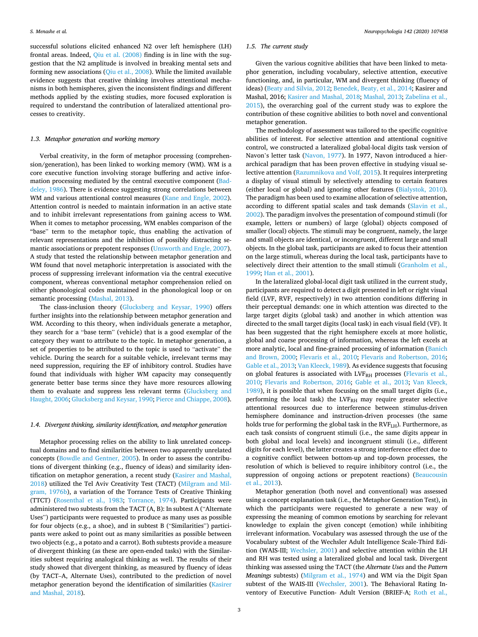successful solutions elicited enhanced N2 over left hemisphere (LH) frontal areas. Indeed, [Qiu et al. \(2008\)](#page-10-0) finding is in line with the suggestion that the N2 amplitude is involved in breaking mental sets and forming new associations ([Qiu et al., 2008](#page-10-0)). While the limited available evidence suggests that creative thinking involves attentional mechanisms in both hemispheres, given the inconsistent findings and different methods applied by the existing studies, more focused exploration is required to understand the contribution of lateralized attentional processes to creativity.

#### *1.3. Metaphor generation and working memory*

Verbal creativity, in the form of metaphor processing (comprehension/generation), has been linked to working memory (WM). WM is a core executive function involving storage buffering and active information processing mediated by the central executive component ([Bad](#page-9-0)[deley, 1986](#page-9-0)). There is evidence suggesting strong correlations between WM and various attentional control measures [\(Kane and Engle, 2002](#page-10-0)). Attention control is needed to maintain information in an active state and to inhibit irrelevant representations from gaining access to WM. When it comes to metaphor processing, WM enables comparison of the "base" term to the metaphor topic, thus enabling the activation of relevant representations and the inhibition of possibly distracting semantic associations or prepotent responses ([Unsworth and Engle, 2007](#page-10-0)). A study that tested the relationship between metaphor generation and WM found that novel metaphoric interpretation is associated with the process of suppressing irrelevant information via the central executive component, whereas conventional metaphor comprehension relied on either phonological codes maintained in the phonological loop or on semantic processing ([Mashal, 2013](#page-10-0)).

The class-inclusion theory ([Glucksberg and Keysar, 1990\)](#page-10-0) offers further insights into the relationship between metaphor generation and WM. According to this theory, when individuals generate a metaphor, they search for a "base term" (vehicle) that is a good exemplar of the category they want to attribute to the topic. In metaphor generation, a set of properties to be attributed to the topic is used to "activate" the vehicle. During the search for a suitable vehicle, irrelevant terms may need suppression, requiring the EF of inhibitory control. Studies have found that individuals with higher WM capacity may consequently generate better base terms since they have more resources allowing them to evaluate and suppress less relevant terms [\(Glucksberg and](#page-10-0)  [Haught, 2006](#page-10-0); [Glucksberg and Keysar, 1990; Pierce and Chiappe, 2008](#page-10-0)).

## *1.4. Divergent thinking, similarity identification, and metaphor generation*

Metaphor processing relies on the ability to link unrelated conceptual domains and to find similarities between two apparently unrelated concepts ([Bowdle and Gentner, 2005\)](#page-9-0). In order to assess the contributions of divergent thinking (e.g., fluency of ideas) and similarity identification on metaphor generation, a recent study (Kasirer and Mashal, [2018\)](#page-10-0) utilized the Tel Aviv Creativity Test (TACT) [\(Milgram and Mil](#page-10-0)[gram, 1976b\)](#page-10-0), a variation of the Torrance Tests of Creative Thinking (TTCT) [\(Rosenthal et al., 1983](#page-10-0); [Torrance, 1974\)](#page-10-0). Participants were administered two subtests from the TACT (A, B): In subtest A ("Alternate Uses") participants were requested to produce as many uses as possible for four objects (e.g., a shoe), and in subtest B ("Similarities") participants were asked to point out as many similarities as possible between two objects (e.g., a potato and a carrot). Both subtests provide a measure of divergent thinking (as these are open-ended tasks) with the Similarities subtest requiring analogical thinking as well. The results of their study showed that divergent thinking, as measured by fluency of ideas (by TACT–A, Alternate Uses), contributed to the prediction of novel metaphor generation beyond the identification of similarities ([Kasirer](#page-10-0)  [and Mashal, 2018\)](#page-10-0).

### *1.5. The current study*

Given the various cognitive abilities that have been linked to metaphor generation, including vocabulary, selective attention, executive functioning, and, in particular, WM and divergent thinking (fluency of ideas) ([Beaty and Silvia, 2012](#page-9-0); [Benedek, Beaty, et al., 2014](#page-9-0); Kasirer and Mashal, 2016; [Kasirer and Mashal, 2018; Mashal, 2013; Zabelina et al.,](#page-10-0)  [2015\)](#page-10-0), the overarching goal of the current study was to explore the contribution of these cognitive abilities to both novel and conventional metaphor generation.

The methodology of assessment was tailored to the specific cognitive abilities of interest. For selective attention and attentional cognitive control, we constructed a lateralized global-local digits task version of Navon's letter task ([Navon, 1977\)](#page-10-0). In 1977, Navon introduced a hierarchical paradigm that has been proven effective in studying visual selective attention ([Razumnikova and Volf, 2015\)](#page-10-0). It requires interpreting a display of visual stimuli by selectively attending to certain features (either local or global) and ignoring other features ([Bialystok, 2010](#page-9-0)). The paradigm has been used to examine allocation of selective attention, according to different spatial scales and task demands [\(Slavin et al.,](#page-10-0)  [2002\)](#page-10-0). The paradigm involves the presentation of compound stimuli (for example, letters or numbers) of large (global) objects composed of smaller (local) objects. The stimuli may be congruent, namely, the large and small objects are identical, or incongruent, different large and small objects. In the global task, participants are asked to focus their attention on the large stimuli, whereas during the local task, participants have to selectively direct their attention to the small stimuli [\(Granholm et al.,](#page-10-0)  [1999; Han et al., 2001](#page-10-0)).

In the lateralized global-local digit task utilized in the current study, participants are required to detect a digit presented in left or right visual field (LVF, RVF, respectively) in two attention conditions differing in their perceptual demands: one in which attention was directed to the large target digits (global task) and another in which attention was directed to the small target digits (local task) in each visual field (VF). It has been suggested that the right hemisphere excels at more holistic, global and coarse processing of information, whereas the left excels at more analytic, local and fine-grained processing of information ([Banich](#page-9-0)  [and Brown, 2000;](#page-9-0) [Flevaris et al., 2010](#page-10-0); [Flevaris and Robertson, 2016](#page-10-0); [Gable et al., 2013](#page-10-0); [Van Kleeck, 1989\)](#page-10-0). As evidence suggests that focusing on global features is associated with LVFRH processes (Flevaris et al., [2010;](#page-10-0) [Flevaris and Robertson, 2016](#page-10-0); [Gable et al., 2013](#page-10-0); [Van Kleeck,](#page-10-0)  [1989\)](#page-10-0), it is possible that when focusing on the small target digits (i.e., performing the local task) the LVF<sub>RH</sub> may require greater selective attentional resources due to interference between stimulus-driven hemisphere dominance and instruction-driven processes (the same holds true for performing the global task in the RVF<sub>LH</sub>). Furthermore, as each task consists of congruent stimuli (i.e., the same digits appear in both global and local levels) and incongruent stimuli (i.e., different digits for each level), the latter creates a strong interference effect due to a cognitive conflict between bottom-up and top-down processes, the resolution of which is believed to require inhibitory control (i.e., the suppression of ongoing actions or prepotent reactions) (Beaucousin [et al., 2013\)](#page-9-0).

Metaphor generation (both novel and conventional) was assessed using a concept explanation task (i.e., the Metaphor Generation Test), in which the participants were requested to generate a new way of expressing the meaning of common emotions by searching for relevant knowledge to explain the given concept (emotion) while inhibiting irrelevant information. Vocabulary was assessed through the use of the Vocabulary subtest of the Wechsler Adult Intelligence Scale-Third Edition (WAIS-III; [Wechsler, 2001](#page-10-0)) and selective attention within the LH and RH was tested using a lateralized global and local task. Divergent thinking was assessed using the TACT (the *Alternate Uses* and the *Pattern Meanings* subtests) [\(Milgram et al., 1974\)](#page-10-0) and WM via the Digit Span subtest of the WAIS-III [\(Wechsler, 2001\)](#page-10-0). The Behavioral Rating Inventory of Executive Function- Adult Version (BRIEF-A; [Roth et al.,](#page-10-0)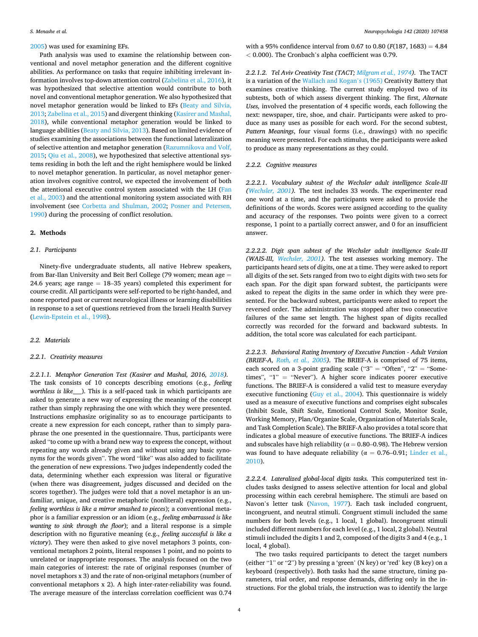## [2005\)](#page-10-0) was used for examining EFs.

Path analysis was used to examine the relationship between conventional and novel metaphor generation and the different cognitive abilities. As performance on tasks that require inhibiting irrelevant information involves top-down attention control ([Zabelina et al., 2016](#page-10-0)), it was hypothesized that selective attention would contribute to both novel and conventional metaphor generation. We also hypothesized that novel metaphor generation would be linked to EFs ([Beaty and Silvia,](#page-9-0)  [2013;](#page-9-0) [Zabelina et al., 2015\)](#page-10-0) and divergent thinking ([Kasirer and Mashal,](#page-10-0)  [2018\)](#page-10-0), while conventional metaphor generation would be linked to language abilities ([Beaty and Silvia, 2013\)](#page-9-0). Based on limited evidence of studies examining the associations between the functional lateralization of selective attention and metaphor generation ([Razumnikova and Volf,](#page-10-0)  [2015; Qiu et al., 2008](#page-10-0)), we hypothesized that selective attentional systems residing in both the left and the right hemisphere would be linked to novel metaphor generation. In particular, as novel metaphor generation involves cognitive control, we expected the involvement of both the attentional executive control system associated with the LH ([Fan](#page-10-0)  [et al., 2003\)](#page-10-0) and the attentional monitoring system associated with RH involvement (see [Corbetta and Shulman, 2002](#page-9-0); [Posner and Petersen,](#page-10-0)  [1990\)](#page-10-0) during the processing of conflict resolution.

## **2. Methods**

## *2.1. Participants*

Ninety-five undergraduate students, all native Hebrew speakers, from Bar-Ilan University and Beit Berl College (79 women; mean age  $=$ 24.6 years; age range  $= 18-35$  years) completed this experiment for course credit. All participants were self-reported to be right-handed, and none reported past or current neurological illness or learning disabilities in response to a set of questions retrieved from the Israeli Health Survey ([Lewin-Epstein et al., 1998\)](#page-10-0).

## *2.2. Materials*

## *2.2.1. Creativity measures*

2.2.1.1. Metaphor Generation Test (Kasirer and Mashal, 2016, [2018](#page-10-0)). The task consists of 10 concepts describing emotions (e.g., *feeling worthless is like*\_\_\_\_). This is a self-paced task in which participants are asked to generate a new way of expressing the meaning of the concept rather than simply rephrasing the one with which they were presented. Instructions emphasize originality so as to encourage participants to create a new expression for each concept, rather than to simply paraphrase the one presented in the questionnaire. Thus, participants were asked "to come up with a brand new way to express the concept, without repeating any words already given and without using any basic synonyms for the words given". The word "like" was also added to facilitate the generation of new expressions. Two judges independently coded the data, determining whether each expression was literal or figurative (when there was disagreement, judges discussed and decided on the scores together). The judges were told that a novel metaphor is an unfamiliar, unique, and creative metaphoric (nonliteral) expression (e.g., *feeling worthless is like a mirror smashed to pieces*); a conventional metaphor is a familiar expression or an idiom (e.g., *feeling embarrassed is like wanting to sink through the floor*); and a literal response is a simple description with no figurative meaning (e.g., *feeling successful is like a victory*). They were then asked to give novel metaphors 3 points, conventional metaphors 2 points, literal responses 1 point, and no points to unrelated or inappropriate responses. The analysis focused on the two main categories of interest: the rate of original responses (number of novel metaphors x 3) and the rate of non-original metaphors (number of conventional metaphors x 2). A high inter-rater-reliability was found. The average measure of the interclass correlation coefficient was 0.74

with a 95% confidence interval from 0.67 to 0.80 ( $F(187, 1683) = 4.84$ ) *<* 0.000). The Cronbach's alpha coefficient was 0.79.

*2.2.1.2. Tel Aviv Creativity Test (TACT; [Milgram et al., 1974](#page-10-0)).* The TACT is a variation of the [Wallach and Kogan](#page-10-0)'s (1965) Creativity Battery that examines creative thinking. The current study employed two of its subtests, both of which assess divergent thinking. The first, *Alternate Uses,* involved the presentation of 4 specific words, each following the next: newspaper, tire, shoe, and chair. Participants were asked to produce as many uses as possible for each word. For the second subtest, *Pattern Meanings*, four visual forms (i.e., drawings) with no specific meaning were presented. For each stimulus, the participants were asked to produce as many representations as they could.

#### *2.2.2. Cognitive measures*

*2.2.2.1. Vocabulary subtest of the Wechsler adult intelligence Scale-III ([Wechsler, 2001](#page-10-0)).* The test includes 33 words. The experimenter read one word at a time, and the participants were asked to provide the definitions of the words. Scores were assigned according to the quality and accuracy of the responses. Two points were given to a correct response, 1 point to a partially correct answer, and 0 for an insufficient answer.

*2.2.2.2. Digit span subtest of the Wechsler adult intelligence Scale-III (WAIS-III, [Wechsler, 2001](#page-10-0)).* The test assesses working memory. The participants heard sets of digits, one at a time. They were asked to report all digits of the set. Sets ranged from two to eight digits with two sets for each span. For the digit span forward subtest, the participants were asked to repeat the digits in the same order in which they were presented. For the backward subtest, participants were asked to report the reversed order. The administration was stopped after two consecutive failures of the same set length. The highest span of digits recalled correctly was recorded for the forward and backward subtests. In addition, the total score was calculated for each participant.

*2.2.2.3. Behavioral Rating Inventory of Executive Function - Adult Version (BRIEF-A, [Roth, et al., 2005](#page-10-0)).* The BRIEF-A is comprised of 75 items, each scored on a 3-point grading scale (" $3$ " = "Often", " $2$ " = "Sometimes", " $1$ " = "Never"). A higher score indicates poorer executive functions. The BRIEF-A is considered a valid test to measure everyday executive functioning [\(Guy et al., 2004](#page-10-0)). This questionnaire is widely used as a measure of executive functions and comprises eight subscales (Inhibit Scale, Shift Scale, Emotional Control Scale, Monitor Scale, Working Memory, Plan/Organize Scale, Organization of Materials Scale, and Task Completion Scale). The BRIEF-A also provides a total score that indicates a global measure of executive functions. The BRIEF-A indices and subscales have high reliability ( $\alpha = 0.80{\text -}0.98$ ). The Hebrew version was found to have adequate reliability ( $\alpha = 0.76{\text -}0.91$ ; Linder et al., [2010\)](#page-10-0).

*2.2.2.4. Lateralized global-local digits tasks.* This computerized test includes tasks designed to assess selective attention for local and global processing within each cerebral hemisphere. The stimuli are based on Navon's letter task ([Navon, 1977\)](#page-10-0). Each task included congruent, incongruent, and neutral stimuli. Congruent stimuli included the same numbers for both levels (e.g., 1 local, 1 global). Incongruent stimuli included different numbers for each level (e.g., 1 local, 2 global). Neutral stimuli included the digits 1 and 2, composed of the digits 3 and 4 (e.g., 1 local, 4 global).

The two tasks required participants to detect the target numbers (either "1" or "2") by pressing a 'green' (N key) or 'red' key (B key) on a keyboard (respectively). Both tasks had the same structure, timing parameters, trial order, and response demands, differing only in the instructions. For the global trials, the instruction was to identify the large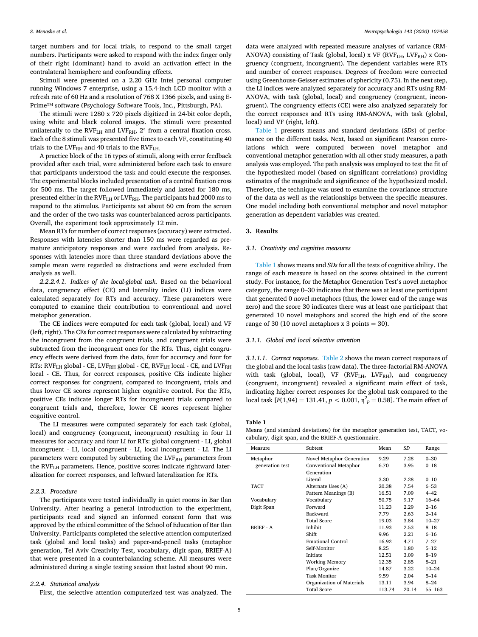target numbers and for local trials, to respond to the small target numbers. Participants were asked to respond with the index finger only of their right (dominant) hand to avoid an activation effect in the contralateral hemisphere and confounding effects.

Stimuli were presented on a 2.20 GHz Intel personal computer running Windows 7 enterprise, using a 15.4-inch LCD monitor with a refresh rate of 60 Hz and a resolution of 768 X 1366 pixels, and using E-Prime™ software (Psychology Software Tools, Inc., Pittsburgh, PA).

The stimuli were 1280 x 720 pixels digitized in 24-bit color depth, using white and black colored images. The stimuli were presented unilaterally to the  $\text{RVF}_{\text{LH}}$  and  $\text{LVF}_{\text{RH}},$   $2^\circ$  from a central fixation cross. Each of the 8 stimuli was presented five times to each VF, constituting 40 trials to the LVF $_{\rm RH}$  and 40 trials to the RVF $_{\rm LH}$ .

A practice block of the 16 types of stimuli, along with error feedback provided after each trial, were administered before each task to ensure that participants understood the task and could execute the responses. The experimental blocks included presentation of a central fixation cross for 500 ms. The target followed immediately and lasted for 180 ms, presented either in the  $RVF_{LH}$  or  $LVF_{RH}$ . The participants had 2000 ms to respond to the stimulus. Participants sat about 60 cm from the screen and the order of the two tasks was counterbalanced across participants. Overall, the experiment took approximately 12 min.

Mean RTs for number of correct responses (accuracy) were extracted. Responses with latencies shorter than 150 ms were regarded as premature anticipatory responses and were excluded from analysis. Responses with latencies more than three standard deviations above the sample mean were regarded as distractions and were excluded from analysis as well.

*2.2.2.4.1. Indices of the local-global task.* Based on the behavioral data, congruency effect (CE) and laterality index (LI) indices were calculated separately for RTs and accuracy. These parameters were computed to examine their contribution to conventional and novel metaphor generation.

The CE indices were computed for each task (global, local) and VF (left, right). The CEs for correct responses were calculated by subtracting the incongruent from the congruent trials, and congruent trials were subtracted from the incongruent ones for the RTs. Thus, eight congruency effects were derived from the data, four for accuracy and four for RTs: RVFLH global - CE, LVFRH global - CE, RVFLH local - CE, and LVFRH local - CE. Thus, for correct responses, positive CEs indicate higher correct responses for congruent, compared to incongruent, trials and thus lower CE scores represent higher cognitive control. For the RTs, positive CEs indicate longer RTs for incongruent trials compared to congruent trials and, therefore, lower CE scores represent higher cognitive control.

The LI measures were computed separately for each task (global, local) and congruency (congruent, incongruent) resulting in four LI measures for accuracy and four LI for RTs: global congruent - LI, global incongruent - LI, local congruent - LI, local incongruent - LI. The LI parameters were computed by subtracting the  $LVF_{RH}$  parameters from the RVFLH parameters. Hence, positive scores indicate rightward lateralization for correct responses, and leftward lateralization for RTs.

#### *2.2.3. Procedure*

The participants were tested individually in quiet rooms in Bar Ilan University. After hearing a general introduction to the experiment, participants read and signed an informed consent form that was approved by the ethical committee of the School of Education of Bar Ilan University. Participants completed the selective attention computerized task (global and local tasks) and paper-and-pencil tasks (metaphor generation, Tel Aviv Creativity Test, vocabulary, digit span, BRIEF-A) that were presented in a counterbalancing scheme. All measures were administered during a single testing session that lasted about 90 min.

# *2.2.4. Statistical analysis*

First, the selective attention computerized test was analyzed. The

data were analyzed with repeated measure analyses of variance (RM-ANOVA) consisting of Task (global, local) x VF ( $RVF_{LH}$ , LVF<sub>RH</sub>) x Congruency (congruent, incongruent). The dependent variables were RTs and number of correct responses. Degrees of freedom were corrected using Greenhouse-Geisser estimates of sphericity (0.75). In the next step, the LI indices were analyzed separately for accuracy and RTs using RM-ANOVA, with task (global, local) and congruency (congruent, incongruent). The congruency effects (CE) were also analyzed separately for the correct responses and RTs using RM-ANOVA, with task (global, local) and VF (right, left).

Table 1 presents means and standard deviations (*SDs*) of performance on the different tasks. Next, based on significant Pearson correlations which were computed between novel metaphor and conventional metaphor generation with all other study measures, a path analysis was employed. The path analysis was employed to test the fit of the hypothesized model (based on significant correlations) providing estimates of the magnitude and significance of the hypothesized model. Therefore, the technique was used to examine the covariance structure of the data as well as the relationships between the specific measures. One model including both conventional metaphor and novel metaphor generation as dependent variables was created.

# **3. Results**

# *3.1. Creativity and cognitive measures*

Table 1 shows means and *SDs* for all the tests of cognitive ability. The range of each measure is based on the scores obtained in the current study. For instance, for the Metaphor Generation Test's novel metaphor category, the range 0–30 indicates that there was at least one participant that generated 0 novel metaphors (thus, the lower end of the range was zero) and the score 30 indicates there was at least one participant that generated 10 novel metaphors and scored the high end of the score range of 30 (10 novel metaphors x 3 points  $=$  30).

## *3.1.1. Global and local selective attention*

*3.1.1.1. Correct responses.* [Table 2](#page-5-0) shows the mean correct responses of the global and the local tasks (raw data). The three-factorial RM-ANOVA with task (global, local), VF ( $RVF_{LH}$ , LVF $_{RH}$ ), and congruency (congruent, incongruent) revealed a significant main effect of task, indicating higher correct responses for the global task compared to the local task  $[F(1,94) = 131.41, p < 0.001, \eta^2 p = 0.58]$ . The main effect of

#### **Table 1**

Means (and standard deviations) for the metaphor generation test, TACT, vocabulary, digit span, and the BRIEF-A questionnaire.

| Measure         | Subtest                   | Mean   | SD    | Range     |
|-----------------|---------------------------|--------|-------|-----------|
| Metaphor        | Novel Metaphor Generation | 9.29   | 7.28  | $0 - 30$  |
| generation test | Conventional Metaphor     | 6.70   | 3.95  | $0 - 18$  |
|                 | Generation                |        |       |           |
|                 | Literal                   | 3.30   | 2.28  | $0 - 10$  |
| <b>TACT</b>     | Alternate Uses (A)        | 20.38  | 7.54  | $6 - 53$  |
|                 | Pattern Meanings (B)      | 16.51  | 7.09  | $4 - 42$  |
| Vocabulary      | Vocabulary                | 50.75  | 9.17  | $16 - 64$ |
| Digit Span      | Forward                   | 11.23  | 2.29  | $2 - 16$  |
|                 | Backward                  | 7.79   | 2.63  | $2 - 14$  |
|                 | <b>Total Score</b>        | 19.03  | 3.84  | $10 - 27$ |
| BRIEF - A       | Inhibit                   | 11.93  | 2.53  | $8 - 18$  |
|                 | Shift                     | 9.96   | 2.21  | $6 - 16$  |
|                 | <b>Emotional Control</b>  | 16.92  | 4.71  | $7 - 27$  |
|                 | Self-Monitor              | 8.25   | 1.80  | $5 - 12$  |
|                 | Initiate                  | 12.51  | 3.09  | $8 - 19$  |
|                 | Working Memory            | 12.35  | 2.85  | $8 - 21$  |
|                 | Plan/Organize             | 14.87  | 3.22  | $10 - 24$ |
|                 | <b>Task Monitor</b>       | 9.59   | 2.04  | $5 - 14$  |
|                 | Organization of Materials | 13.11  | 3.94  | $8 - 24$  |
|                 | <b>Total Score</b>        | 113.74 | 20.14 | 55-163    |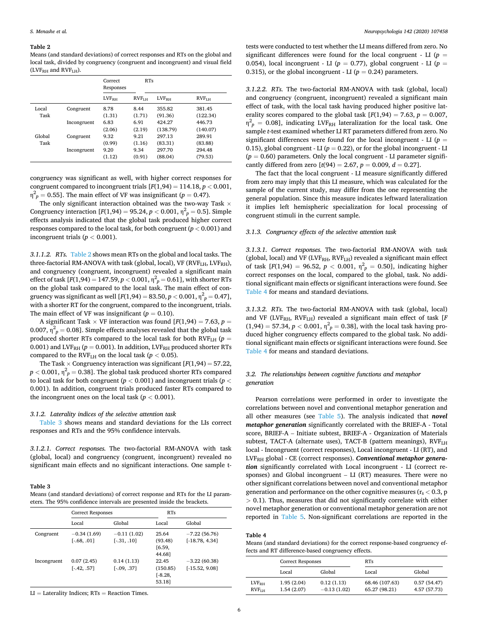#### <span id="page-5-0"></span>**Table 2**

Means (and standard deviations) of correct responses and RTs on the global and local task, divided by congruency (congruent and incongruent) and visual field  $(LVF<sub>RH</sub>$  and  $RVF<sub>LH</sub>$ ).

|                |             | Correct<br>Responses | RTs               |                    |                    |
|----------------|-------------|----------------------|-------------------|--------------------|--------------------|
|                |             | LVF <sub>RH</sub>    | RVF <sub>LH</sub> | LVF <sub>PH</sub>  | RVF <sub>LH</sub>  |
| Local<br>Task  | Congruent   | 8.78<br>(1.31)       | 8.44<br>(1.71)    | 355.82<br>(91.36)  | 381.45<br>(122.34) |
|                | Incongruent | 6.83<br>(2.06)       | 6.91<br>(2.19)    | 424.27<br>(138.79) | 446.73<br>(140.07) |
| Global<br>Task | Congruent   | 9.32<br>(0.99)       | 9.21<br>(1.16)    | 297.13<br>(83.31)  | 289.91<br>(83.88)  |
|                | Incongruent | 9.20<br>(1.12)       | 9.34<br>(0.91)    | 297.70<br>(88.04)  | 294.48<br>(79.53)  |

congruency was significant as well, with higher correct responses for congruent compared to incongruent trials  $[F(1,94) = 114.18, p < 0.001,$  $\eta_p^2 = 0.55$ ]. The main effect of VF was insignificant ( $p = 0.47$ ).

The only significant interaction obtained was the two-way Task  $\times$ Congruency interaction [ $F(1,94) = 95.24$ ,  $p < 0.001$ ,  $\eta^2_{\,\, p} = 0.5$ ]. Simple effects analysis indicated that the global task produced higher correct responses compared to the local task, for both congruent (*p <* 0.001) and incongruent trials  $(p < 0.001)$ .

*3.1.1.2. RTs.* Table 2 shows mean RTs on the global and local tasks. The three-factorial RM-ANOVA with task (global, local), VF (RVF<sub>LH</sub>, LVF<sub>RH</sub>), and congruency (congruent, incongruent) revealed a significant main effect of task [ $F(1,94) = 147.59, p < 0.001, \eta^2_p = 0.61$ ], with shorter RTs on the global task compared to the local task. The main effect of congruency was significant as well [ $F(1,94) = 83.50, p < 0.001, \eta^2_p = 0.47$ ], with a shorter RT for the congruent, compared to the incongruent, trials. The main effect of VF was insignificant  $(p = 0.10)$ .

A significant Task  $\times$  VF interaction was found [ $F(1,94) = 7.63$ ,  $p =$ 0.007,  $\eta_p^2$  = 0.08]. Simple effects analyses revealed that the global task produced shorter RTs compared to the local task for both  $RVF_{LH}$  ( $p =$ 0.001) and  $LVF_{RH}$  ( $p = 0.001$ ). In addition,  $LVF_{RH}$  produced shorter RTs compared to the RVF<sub>LH</sub> on the local task ( $p < 0.05$ ).

The Task  $\times$  Congruency interaction was significant [ $F(1,94) = 57.22$ ,  $p < 0.001$ ,  $\eta^2_{\,\,p} = 0.38$ ]. The global task produced shorter RTs compared to local task for both congruent (*p <* 0.001) and incongruent trials (*p <* 0.001). In addition, congruent trials produced faster RTs compared to the incongruent ones on the local task  $(p < 0.001)$ .

## *3.1.2. Laterality indices of the selective attention task*

Table 3 shows means and standard deviations for the LIs correct responses and RTs and the 95% confidence intervals.

*3.1.2.1. Correct responses.* The two-factorial RM-ANOVA with task (global, local) and congruency (congruent, incongruent) revealed no significant main effects and no significant interactions. One sample t-

# **Table 3**

Means (and standard deviations) of correct response and RTs for the LI parameters. The 95% confidence intervals are presented inside the brackets.

|             | <b>Correct Responses</b> |                 | <b>RTs</b> |                  |
|-------------|--------------------------|-----------------|------------|------------------|
|             | Local                    | Global          | Local      | Global           |
| Congruent   | $-0.34(1.69)$            | $-0.11(1.02)$   | 25.64      | $-7.22(56.76)$   |
|             | $[-68, .01]$             | $[-31, .10]$    | (93.48)    | $[-18.78, 4.34]$ |
|             |                          |                 | [6.59,     |                  |
|             |                          |                 | 44.681     |                  |
| Incongruent | 0.07(2.45)               | 0.14(1.13)      | 22.45      | $-3.22(60.38)$   |
|             | $[-42, .57]$             | $[-0.09, 0.37]$ | (150.85)   | $[-15.52, 9.08]$ |
|             |                          |                 | $[-8.28,$  |                  |
|             |                          |                 | 53.181     |                  |

 $LI =$  Laterality Indices;  $RTs =$  Reaction Times.

tests were conducted to test whether the LI means differed from zero. No significant differences were found for the local congruent - LI ( $p =$ 0.054), local incongruent - LI ( $p = 0.77$ ), global congruent - LI ( $p = 0.77$ ) 0.315), or the global incongruent - LI  $(p = 0.24)$  parameters.

*3.1.2.2. RTs.* The two-factorial RM-ANOVA with task (global, local) and congruency (congruent, incongruent) revealed a significant main effect of task, with the local task having produced higher positive laterality scores compared to the global task  $[F(1,94) = 7.63, p = 0.007,$  $\eta_p^2 = 0.08$ ], indicating LVF<sub>RH</sub> lateralization for the local task. One sample *t*-test examined whether LI RT parameters differed from zero. No significant differences were found for the local incongruent - LI ( $p =$ 0.15), global congruent - LI ( $p = 0.22$ ), or for the global incongruent - LI  $(p = 0.60)$  parameters. Only the local congruent - LI parameter significantly differed from zero  $[t(94) = 2.67, p = 0.009, d = 0.27]$ .

The fact that the local congruent - LI measure significantly differed from zero may imply that this LI measure, which was calculated for the sample of the current study, may differ from the one representing the general population. Since this measure indicates leftward lateralization it implies left hemispheric specialization for local processing of congruent stimuli in the current sample.

#### *3.1.3. Congruency effects of the selective attention task*

*3.1.3.1. Correct responses.* The two-factorial RM-ANOVA with task (global, local) and VF (LVF<sub>RH</sub>, RVF<sub>LH</sub>) revealed a significant main effect of task  $[F(1,94) = 96.52, p < 0.001, \eta^2_p = 0.50]$ , indicating higher correct responses on the local, compared to the global, task. No additional significant main effects or significant interactions were found. See Table 4 for means and standard deviations.

*3.1.3.2. RTs.* The two-factorial RM-ANOVA with task (global, local) and VF (LVF<sub>RH</sub>, RVF<sub>LH</sub>) revealed a significant main effect of task [ $F$  $(1,94) = 57.34, p < 0.001, \eta^2_p = 0.38$ , with the local task having produced higher congruency effects compared to the global task. No additional significant main effects or significant interactions were found. See Table 4 for means and standard deviations.

# *3.2. The relationships between cognitive functions and metaphor generation*

Pearson correlations were performed in order to investigate the correlations between novel and conventional metaphor generation and all other measures (see [Table 5\)](#page-6-0). The analysis indicated that *novel metaphor generation* significantly correlated with the BRIEF-A - Total score, BRIEF-A – Initiate subtest, BRIEF-A - Organization of Materials subtest, TACT-A (alternate uses), TACT-B (pattern meanings),  $RVF<sub>LH</sub>$ local - Incongruent (correct responses), Local incongruent - LI (RT), and LVFRH global - CE (correct responses). *Conventional metaphor generation* significantly correlated with Local incongruent - LI (correct responses) and Global incongruent – LI (RT) measures. There were no other significant correlations between novel and conventional metaphor generation and performance on the other cognitive measures ( $r_s < 0.3$ , p *>* 0.1). Thus, measures that did not significantly correlate with either novel metaphor generation or conventional metaphor generation are not reported in [Table 5.](#page-6-0) Non-significant correlations are reported in the

#### **Table 4**

Means (and standard deviations) for the correct response-based congruency effects and RT difference-based congruency effects.

|                                 | <b>Correct Responses</b> |                             | <b>RTs</b>                      |                             |
|---------------------------------|--------------------------|-----------------------------|---------------------------------|-----------------------------|
|                                 | Local                    | Global                      | Local                           | Global                      |
| $LVF_{RH}$<br>RVF <sub>LH</sub> | 1.95(2.04)<br>1.54(2.07) | 0.12(1.13)<br>$-0.13(1.02)$ | 68.46 (107.63)<br>65.27 (98.21) | 0.57(54.47)<br>4.57 (57.73) |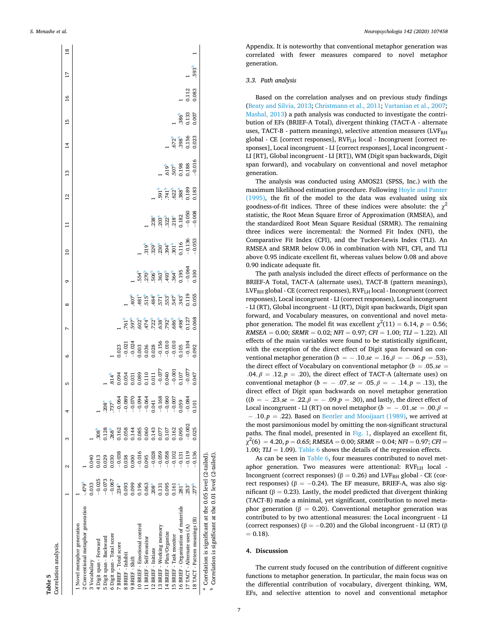| ņ<br>na<br>Ea⊟ | rrelation analysis. |  |
|----------------|---------------------|--|

<span id="page-6-0"></span>

|                                                                       |                  | $\mathbf{\Omega}$ | S                 |                      | Б                                                                                                                                                                                                                                                                                                                           | $\circ$                                                                                                                             |                                                                                                                                                                                                                                                                                                                                                                                                                                            | $^{\circ}$                                                                                                                                                                                                                                                  | o                                                                                                                                                                                                                                             | $\overline{a}$                                                                                                                                                                       | $\Xi$ | 12                                                                                                                                                                                                                                                                                                                                                                                                                                                                                                      | 13                                                  | 14                                                                     | $\frac{15}{2}$                  | 16             | $\overline{17}$ | $\overline{18}$ |
|-----------------------------------------------------------------------|------------------|-------------------|-------------------|----------------------|-----------------------------------------------------------------------------------------------------------------------------------------------------------------------------------------------------------------------------------------------------------------------------------------------------------------------------|-------------------------------------------------------------------------------------------------------------------------------------|--------------------------------------------------------------------------------------------------------------------------------------------------------------------------------------------------------------------------------------------------------------------------------------------------------------------------------------------------------------------------------------------------------------------------------------------|-------------------------------------------------------------------------------------------------------------------------------------------------------------------------------------------------------------------------------------------------------------|-----------------------------------------------------------------------------------------------------------------------------------------------------------------------------------------------------------------------------------------------|--------------------------------------------------------------------------------------------------------------------------------------------------------------------------------------|-------|---------------------------------------------------------------------------------------------------------------------------------------------------------------------------------------------------------------------------------------------------------------------------------------------------------------------------------------------------------------------------------------------------------------------------------------------------------------------------------------------------------|-----------------------------------------------------|------------------------------------------------------------------------|---------------------------------|----------------|-----------------|-----------------|
| Novel metaphor generation                                             |                  |                   |                   |                      |                                                                                                                                                                                                                                                                                                                             |                                                                                                                                     |                                                                                                                                                                                                                                                                                                                                                                                                                                            |                                                                                                                                                                                                                                                             |                                                                                                                                                                                                                                               |                                                                                                                                                                                      |       |                                                                                                                                                                                                                                                                                                                                                                                                                                                                                                         |                                                     |                                                                        |                                 |                |                 |                 |
| 2 Conventional metaphor generation                                    | $-479^{b}$       |                   |                   |                      |                                                                                                                                                                                                                                                                                                                             |                                                                                                                                     |                                                                                                                                                                                                                                                                                                                                                                                                                                            |                                                                                                                                                                                                                                                             |                                                                                                                                                                                                                                               |                                                                                                                                                                                      |       |                                                                                                                                                                                                                                                                                                                                                                                                                                                                                                         |                                                     |                                                                        |                                 |                |                 |                 |
| 3 Vocabulary                                                          | 0.033            | 040               |                   |                      |                                                                                                                                                                                                                                                                                                                             |                                                                                                                                     |                                                                                                                                                                                                                                                                                                                                                                                                                                            |                                                                                                                                                                                                                                                             |                                                                                                                                                                                                                                               |                                                                                                                                                                                      |       |                                                                                                                                                                                                                                                                                                                                                                                                                                                                                                         |                                                     |                                                                        |                                 |                |                 |                 |
| 4 Digit span - Forward                                                | $-0.025$         | 0.013             | 308               |                      |                                                                                                                                                                                                                                                                                                                             |                                                                                                                                     |                                                                                                                                                                                                                                                                                                                                                                                                                                            |                                                                                                                                                                                                                                                             |                                                                                                                                                                                                                                               |                                                                                                                                                                                      |       |                                                                                                                                                                                                                                                                                                                                                                                                                                                                                                         |                                                     |                                                                        |                                 |                |                 |                 |
| 5 Digit span - Backward                                               | $-0.073$         | 0.029             | 1.128             | $.208^{a}$           |                                                                                                                                                                                                                                                                                                                             |                                                                                                                                     |                                                                                                                                                                                                                                                                                                                                                                                                                                            |                                                                                                                                                                                                                                                             |                                                                                                                                                                                                                                               |                                                                                                                                                                                      |       |                                                                                                                                                                                                                                                                                                                                                                                                                                                                                                         |                                                     |                                                                        |                                 |                |                 |                 |
| 6 Digit span - Total score                                            | $-0.067$         | 030               | .268 <sup>b</sup> | $737^b$              |                                                                                                                                                                                                                                                                                                                             |                                                                                                                                     |                                                                                                                                                                                                                                                                                                                                                                                                                                            |                                                                                                                                                                                                                                                             |                                                                                                                                                                                                                                               |                                                                                                                                                                                      |       |                                                                                                                                                                                                                                                                                                                                                                                                                                                                                                         |                                                     |                                                                        |                                 |                |                 |                 |
| 7 BRIEF - Total score                                                 | $.234^{a}$       | $-0.038$          | .162              | $-0.064$             |                                                                                                                                                                                                                                                                                                                             |                                                                                                                                     |                                                                                                                                                                                                                                                                                                                                                                                                                                            |                                                                                                                                                                                                                                                             |                                                                                                                                                                                                                                               |                                                                                                                                                                                      |       |                                                                                                                                                                                                                                                                                                                                                                                                                                                                                                         |                                                     |                                                                        |                                 |                |                 |                 |
| 8 BRIEF - Inhibit                                                     | 0.093            | 0.38              | 0.058             |                      |                                                                                                                                                                                                                                                                                                                             |                                                                                                                                     |                                                                                                                                                                                                                                                                                                                                                                                                                                            |                                                                                                                                                                                                                                                             |                                                                                                                                                                                                                                               |                                                                                                                                                                                      |       |                                                                                                                                                                                                                                                                                                                                                                                                                                                                                                         |                                                     |                                                                        |                                 |                |                 |                 |
| 9 BRIEF - Shift                                                       | 0.099            | 000               | 0.144             | $-0.089$<br>$-0.070$ |                                                                                                                                                                                                                                                                                                                             |                                                                                                                                     |                                                                                                                                                                                                                                                                                                                                                                                                                                            |                                                                                                                                                                                                                                                             |                                                                                                                                                                                                                                               |                                                                                                                                                                                      |       |                                                                                                                                                                                                                                                                                                                                                                                                                                                                                                         |                                                     |                                                                        |                                 |                |                 |                 |
| 10 BRIEF - Emotional control                                          | 0.196            | $-0.016$          | 0.085             | $-0.094$<br>$-0.064$ |                                                                                                                                                                                                                                                                                                                             |                                                                                                                                     |                                                                                                                                                                                                                                                                                                                                                                                                                                            |                                                                                                                                                                                                                                                             |                                                                                                                                                                                                                                               |                                                                                                                                                                                      |       |                                                                                                                                                                                                                                                                                                                                                                                                                                                                                                         |                                                     |                                                                        |                                 |                |                 |                 |
| 11 BRIEF - Self-monitor                                               | 0.063            | 0.095             | 0.060             |                      | $\begin{array}{r} 14^{4} \\ 0.054 \\ 0.031 \\ 0.031 \\ 0.005 \\ 0.011 \\ 0.011 \\ 0.077 \\ -0.077 \\ -0.077 \\ -0.077 \\ -0.077 \\ -0.077 \\ -0.077 \\ -0.077 \\ -0.077 \\ -0.077 \\ -0.077 \\ -0.077 \\ -0.077 \\ -0.077 \\ -0.077 \\ -0.077 \\ -0.077 \\ -0.077 \\ -0.077 \\ -0.077 \\ -0.077 \\ -0.077 \\ -0.077 \\ -0.$ | 1<br>0.023<br>$-0.021$<br>$-0.024$<br>0.03<br>0.03<br>0.03<br>0.03<br>0.03<br>0.03<br>0.04<br>0.04<br>0.04<br>0.04<br>0.04<br>0.005 | $\begin{array}{c} \mathbb{L} & \mathbb{L} & \mathbb{L} \\ \mathbb{L} & \mathbb{L} & \mathbb{L} \\ \mathbb{L} & \mathbb{L} & \mathbb{L} \\ \mathbb{L} & \mathbb{L} & \mathbb{L} \\ \mathbb{L} & \mathbb{L} & \mathbb{L} \\ \mathbb{L} & \mathbb{L} & \mathbb{L} \\ \mathbb{L} & \mathbb{L} & \mathbb{L} \\ \mathbb{L} & \mathbb{L} & \mathbb{L} \\ \mathbb{L} & \mathbb{L} & \mathbb{L} \\ \mathbb{L} & \mathbb{L} & \mathbb{L} \\ \mathbb$ | $407^{\circ}$<br>$481^{\circ}$<br>$481^{\circ}$<br>$484^{\circ}$<br>$571^{\circ}$<br>$587^{\circ}$<br>$594^{\circ}$<br>$594^{\circ}$<br>$594^{\circ}$<br>$594^{\circ}$<br>$594^{\circ}$<br>$594^{\circ}$<br>$594^{\circ}$<br>$594^{\circ}$<br>$594^{\circ}$ | $\frac{1}{1}$ $\frac{3}{5}$ $\frac{4}{7}$ $\frac{6}{7}$ $\frac{6}{9}$ $\frac{6}{3}$ $\frac{6}{3}$ $\frac{3}{4}$ $\frac{4}{9}$ $\frac{4}{9}$ $\frac{1}{5}$ $\frac{1}{1}$ $\frac{1}{1}$ $\frac{1}{1}$ $\frac{1}{1}$ $\frac{1}{1}$ $\frac{1}{1}$ | $\begin{array}{c} 1 \\ 319^{\mathrm{b}} \\ 332^{\mathrm{b}} \\ 323^{\mathrm{a}} \\ 336^{\mathrm{a}} \\ 330^{\mathrm{a}} \\ 3301^{\mathrm{b}} \\ 116 \\ -0.136 \\ -0.053 \end{array}$ |       |                                                                                                                                                                                                                                                                                                                                                                                                                                                                                                         |                                                     |                                                                        |                                 |                |                 |                 |
| 12 BRIEF - Initiate                                                   | 208 <sup>a</sup> | $-0.028$          | 0.143             | 0.041                |                                                                                                                                                                                                                                                                                                                             |                                                                                                                                     |                                                                                                                                                                                                                                                                                                                                                                                                                                            |                                                                                                                                                                                                                                                             |                                                                                                                                                                                                                                               |                                                                                                                                                                                      |       |                                                                                                                                                                                                                                                                                                                                                                                                                                                                                                         |                                                     |                                                                        |                                 |                |                 |                 |
| 13 BRIEF - Working memory                                             | 0.131            | $-0.059$          | 0.077             | $-0.168$             |                                                                                                                                                                                                                                                                                                                             |                                                                                                                                     |                                                                                                                                                                                                                                                                                                                                                                                                                                            |                                                                                                                                                                                                                                                             |                                                                                                                                                                                                                                               |                                                                                                                                                                                      |       | $\begin{array}{c}\n 1 \\  -3 \\  -5 \\  \hline\n 0 \\  -4 \\  \hline\n 1 \\  -5 \\  \hline\n 0 \\  -1 \\  \hline\n 0 \\  -1 \\  \hline\n 0 \\  -1 \\  \hline\n 0 \\  -1 \\  \hline\n 0 \\  -1 \\  \hline\n 0 \\  -1 \\  \hline\n 0 \\  -1 \\  \hline\n 0 \\  -1 \\  \hline\n 0 \\  -1 \\  \hline\n 0 \\  -1 \\  \hline\n 0 \\  -1 \\  \hline\n 0 \\  -1 \\  \hline\n 0 \\  -1 \\  \hline\n 0 \\  -1 \\  \hline\n 0 \\  -1 \\  \hline\n 0 \\  -1 \\  \hline\n 0 \\  -1 \\  \hline\n 0 \\  -1 \\  \hline$ |                                                     |                                                                        |                                 |                |                 |                 |
| 14 BRIEF - Plan/Organize                                              | 0.095            | $-0.058$          | 0.107             | $-0.060$             |                                                                                                                                                                                                                                                                                                                             |                                                                                                                                     |                                                                                                                                                                                                                                                                                                                                                                                                                                            |                                                                                                                                                                                                                                                             |                                                                                                                                                                                                                                               |                                                                                                                                                                                      |       |                                                                                                                                                                                                                                                                                                                                                                                                                                                                                                         |                                                     |                                                                        |                                 |                |                 |                 |
| 15 BRIEF - Task monitor                                               | 0.161            | $-0.102$          | 1.162             | $-0.007$             |                                                                                                                                                                                                                                                                                                                             |                                                                                                                                     |                                                                                                                                                                                                                                                                                                                                                                                                                                            |                                                                                                                                                                                                                                                             |                                                                                                                                                                                                                                               |                                                                                                                                                                                      |       |                                                                                                                                                                                                                                                                                                                                                                                                                                                                                                         |                                                     |                                                                        |                                 |                |                 |                 |
| 16 BRIEF - Organization of materials                                  | 281 <sup>b</sup> | $-0.131$          | 0.095             | 0.059                |                                                                                                                                                                                                                                                                                                                             |                                                                                                                                     |                                                                                                                                                                                                                                                                                                                                                                                                                                            |                                                                                                                                                                                                                                                             |                                                                                                                                                                                                                                               |                                                                                                                                                                                      |       |                                                                                                                                                                                                                                                                                                                                                                                                                                                                                                         |                                                     |                                                                        |                                 |                |                 |                 |
| 17 TACT - Alternate uses (A)                                          | 253 <sup>a</sup> | $-0.119$          | $-0.002$          | $-0.084$             |                                                                                                                                                                                                                                                                                                                             |                                                                                                                                     |                                                                                                                                                                                                                                                                                                                                                                                                                                            |                                                                                                                                                                                                                                                             |                                                                                                                                                                                                                                               |                                                                                                                                                                                      |       |                                                                                                                                                                                                                                                                                                                                                                                                                                                                                                         | $619^b$<br>$507^b$<br>$0.198$<br>$0.188$<br>$0.016$ | $\frac{1}{1.672^b}$<br>.398 <sup>b</sup><br>.398 <sup>b</sup><br>.3023 | $386^{\circ}$<br>0.133<br>0.007 | 0.112<br>0.083 |                 |                 |
| 18 TACT - Pattern meanings (B)                                        | 277              | $-0.136$          | 0.025             | 0.101                |                                                                                                                                                                                                                                                                                                                             |                                                                                                                                     |                                                                                                                                                                                                                                                                                                                                                                                                                                            |                                                                                                                                                                                                                                                             |                                                                                                                                                                                                                                               |                                                                                                                                                                                      |       |                                                                                                                                                                                                                                                                                                                                                                                                                                                                                                         |                                                     |                                                                        |                                 |                | 593             |                 |
| <sup>a</sup> Correlation is significant at the 0.05 level (2-tailed). |                  |                   |                   |                      |                                                                                                                                                                                                                                                                                                                             |                                                                                                                                     |                                                                                                                                                                                                                                                                                                                                                                                                                                            |                                                                                                                                                                                                                                                             |                                                                                                                                                                                                                                               |                                                                                                                                                                                      |       |                                                                                                                                                                                                                                                                                                                                                                                                                                                                                                         |                                                     |                                                                        |                                 |                |                 |                 |
| Correlation is significant at the 0.01 level (2-tailed).              |                  |                   |                   |                      |                                                                                                                                                                                                                                                                                                                             |                                                                                                                                     |                                                                                                                                                                                                                                                                                                                                                                                                                                            |                                                                                                                                                                                                                                                             |                                                                                                                                                                                                                                               |                                                                                                                                                                                      |       |                                                                                                                                                                                                                                                                                                                                                                                                                                                                                                         |                                                     |                                                                        |                                 |                |                 |                 |

Appendix. It is noteworthy that conventional metaphor generation was correlated with fewer measures compared to novel metaphor generation.

### *3.3. Path analysis*

Based on the correlation analyses and on previous study findings ([Beaty and Silvia, 2013](#page-9-0); [Christmann et al., 2011;](#page-9-0) [Vartanian et al., 2007](#page-10-0); [Mashal, 2013\)](#page-10-0) a path analysis was conducted to investigate the contribution of EFs (BRIEF-A Total), divergent thinking (TACT-A - alternate uses, TACT-B - pattern meanings), selective attention measures (LVF $_{\rm RH}$ global - CE [correct responses], RVFLH local - Incongruent [correct responses], Local incongruent - LI [correct responses], Local incongruent - LI [RT], Global incongruent - LI [RT]), WM (Digit span backwards, Digit span forward), and vocabulary on conventional and novel metaphor generation.

The analysis was conducted using AMOS21 (SPSS, Inc.) with the maximum likelihood estimation procedure. Following [Hoyle and Panter](#page-10-0)  [\(1995\),](#page-10-0) the fit of the model to the data was evaluated using six goodness-of-fit indices. Three of these indices were absolute: the  $\chi^2$ statistic, the Root Mean Square Error of Approximation (RMSEA), and the standardized Root Mean Square Residual (SRMR). The remaining three indices were incremental: the Normed Fit Index (NFI), the Comparative Fit Index (CFI), and the Tucker-Lewis Index (TLI). An RMSEA and SRMR below 0.06 in combination with NFI, CFI, and TLI above 0.95 indicate excellent fit, whereas values below 0.08 and above 0.90 indicate adequate fit.

The path analysis included the direct effects of performance on the BRIEF-A Total, TACT-A (alternate uses), TACT-B (pattern meanings),  $LVF_{RH}$  global - CE (correct responses),  $RVF_{LH}$  local - Incongruent (correct responses), Local incongruent - LI (correct responses), Local incongruent - LI (RT), Global incongruent - LI (RT), Digit span backwards, Digit span forward, and Vocabulary measures, on conventional and novel metaphor generation. The model fit was excellent  $\chi^2(11) = 6.14$ ,  $p = 0.56$ ;  $RMSEA = 0.00$ ;  $SRMR = 0.02$ ;  $NFI = 0.97$ ;  $CFI = 1.00$ ;  $TLI = 1.22$ ). All effects of the main variables were found to be statistically significant, with the exception of the direct effect of Digit span forward on conventional metaphor generation ( $b = -.10$ *,se*  $= .16$ , $\beta = -.06$ , $p = .53$ ), the direct effect of Vocabulary on conventional metaphor ( $b = .05$ *,se* =  $.04, \beta = .12, p = .20$ , the direct effect of TACT-A (alternate uses) on conventional metaphor ( $b = -0.07$ ,  $se = 0.05$ ,  $\beta = -0.14$ ,  $p = 0.13$ ), the direct effect of Digit span backwards on novel metaphor generation  $((b = -0.23, s = .22, \beta = -0.09, p = .30)$ , and lastly, the direct effect of Local incongruent - LI (RT) on novel metaphor ( $b = -0.01$ *;* $se = 0.00$ , $\beta = 0$  $-10, p = .22$ ). Based on [Bentler and Mooijaart \(1989\),](#page-9-0) we arrived at the most parsimonious model by omitting the non-significant structural paths. The final model, presented in [Fig. 1](#page-7-0), displayed an excellent fit,  $\chi^2(6) = 4.20, p = 0.65; RMSEA = 0.00; SRMR = 0.04; NFI = 0.97; CFI =$ 1.00;  $TLI = 1.09$ ). [Table 6](#page-7-0) shows the details of the regression effects.

As can be seen in [Table 6,](#page-7-0) four measures contributed to novel metaphor generation. Two measures were attentional:  $RVF_{LH}$  local -Incongruent (correct responses) ( $β = 0.26$ ) and LVF<sub>RH</sub> global - CE (correct responses) ( $β = -0.24$ ). The EF measure, BRIEF-A, was also significant ( $β = 0.23$ ). Lastly, the model predicted that divergent thinking (TACT-B) made a minimal, yet significant, contribution to novel metaphor generation (β = 0.20). Conventional metaphor generation was contributed to by two attentional measures: the Local incongruent - LI (correct responses) ( $\beta = -0.20$ ) and the Global incongruent - LI (RT) ( $\beta$  $= 0.18$ .

# **4. Discussion**

The current study focused on the contribution of different cognitive functions to metaphor generation. In particular, the main focus was on the differential contribution of vocabulary, divergent thinking, WM, EFs, and selective attention to novel and conventional metaphor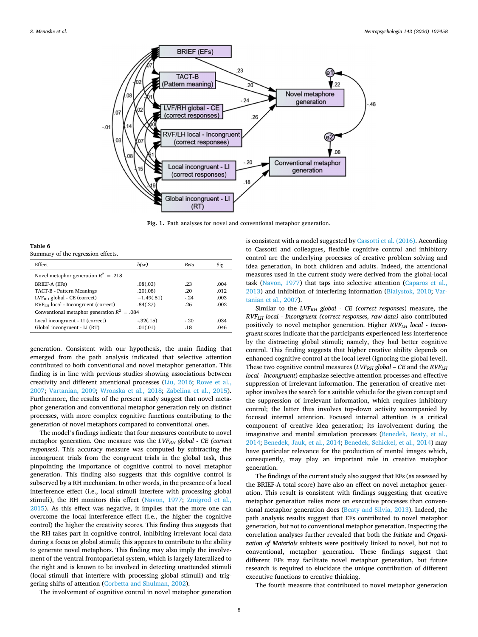<span id="page-7-0"></span>

**Fig. 1.** Path analyses for novel and conventional metaphor generation.

**Table 6**  Summary of the regression effects.

| Effect                                        | $b$ (se)     | Beta   | Sig  |
|-----------------------------------------------|--------------|--------|------|
| Novel metaphor generation $R^2 = .218$        |              |        |      |
| BRIEF-A (EFs)                                 | .08(.03)     | .23    | .004 |
| TACT-B - Pattern Meanings                     | .20(.08)     | .20    | .012 |
| $LVFBH$ global - CE (correct)                 | $-1.49(.51)$ | $-.24$ | .003 |
| $RVFLH$ local - Incongruent (correct)         | .84(.27)     | .26    | .002 |
| Conventional metaphor generation $R^2 = .084$ |              |        |      |
| Local incongruent - LI (correct)              | $-32(.15)$   | $-20$  | .034 |
| Global incongruent - LI (RT)                  | .01(.01)     | .18    | .046 |

generation. Consistent with our hypothesis, the main finding that emerged from the path analysis indicated that selective attention contributed to both conventional and novel metaphor generation. This finding is in line with previous studies showing associations between creativity and different attentional processes ([Liu, 2016;](#page-10-0) [Rowe et al.,](#page-10-0)  [2007;](#page-10-0) [Vartanian, 2009;](#page-10-0) [Wronska et al., 2018;](#page-10-0) [Zabelina et al., 2015](#page-10-0)). Furthermore, the results of the present study suggest that novel metaphor generation and conventional metaphor generation rely on distinct processes, with more complex cognitive functions contributing to the generation of novel metaphors compared to conventional ones.

The model's findings indicate that four measures contribute to novel metaphor generation. One measure was the *LVF<sub>RH</sub>* global - CE (correct *responses).* This accuracy measure was computed by subtracting the incongruent trials from the congruent trials in the global task, thus pinpointing the importance of cognitive control to novel metaphor generation. This finding also suggests that this cognitive control is subserved by a RH mechanism. In other words, in the presence of a local interference effect (i.e., local stimuli interfere with processing global stimuli), the RH monitors this effect [\(Navon, 1977](#page-10-0); [Zmigrod et al.,](#page-10-0)  [2015\)](#page-10-0). As this effect was negative, it implies that the more one can overcome the local interference effect (i.e., the higher the cognitive control) the higher the creativity scores. This finding thus suggests that the RH takes part in cognitive control, inhibiting irrelevant local data during a focus on global stimuli; this appears to contribute to the ability to generate novel metaphors. This finding may also imply the involvement of the ventral frontoparietal system, which is largely lateralized to the right and is known to be involved in detecting unattended stimuli (local stimuli that interfere with processing global stimuli) and triggering shifts of attention ([Corbetta and Shulman, 2002\)](#page-9-0).

is consistent with a model suggested by [Cassotti et al. \(2016\).](#page-9-0) According to Cassotti and colleagues, flexible cognitive control and inhibitory control are the underlying processes of creative problem solving and idea generation, in both children and adults. Indeed, the attentional measures used in the current study were derived from the global-local task [\(Navon, 1977\)](#page-10-0) that taps into selective attention [\(Caparos et al.,](#page-9-0)  [2013\)](#page-9-0) and inhibition of interfering information [\(Bialystok, 2010;](#page-9-0) [Var](#page-10-0)[tanian et al., 2007\)](#page-10-0).

Similar to the *LVFRH global - CE (correct responses*) measure, the *RVFLH local - Incongruent (correct responses, raw data)* also contributed positively to novel metaphor generation. Higher *RVFLH local - Incongruent* scores indicate that the participants experienced less interference by the distracting global stimuli; namely, they had better cognitive control. This finding suggests that higher creative ability depends on enhanced cognitive control at the local level (ignoring the global level). These two cognitive control measures  $(LVF_{RH}$  global – *CE* and the  $RVF_{LH}$ *local - Incongruent*) emphasize selective attention processes and effective suppression of irrelevant information. The generation of creative metaphor involves the search for a suitable vehicle for the given concept and the suppression of irrelevant information, which requires inhibitory control; the latter thus involves top-down activity accompanied by focused internal attention. Focused internal attention is a critical component of creative idea generation; its involvement during the imaginative and mental simulation processes ([Benedek, Beaty, et al.,](#page-9-0)  [2014; Benedek, Jauk, et al., 2014; Benedek, Schickel, et al., 2014](#page-9-0)) may have particular relevance for the production of mental images which, consequently, may play an important role in creative metaphor generation.

The findings of the current study also suggest that EFs (as assessed by the BRIEF-A total score) have also an effect on novel metaphor generation. This result is consistent with findings suggesting that creative metaphor generation relies more on executive processes than conventional metaphor generation does ([Beaty and Silvia, 2013](#page-9-0)). Indeed, the path analysis results suggest that EFs contributed to novel metaphor generation, but not to conventional metaphor generation. Inspecting the correlation analyses further revealed that both the *Initiate* and *Organization of Materials* subtests were positively linked to novel, but not to conventional, metaphor generation. These findings suggest that different EFs may facilitate novel metaphor generation, but future research is required to elucidate the unique contribution of different executive functions to creative thinking.

The involvement of cognitive control in novel metaphor generation

The fourth measure that contributed to novel metaphor generation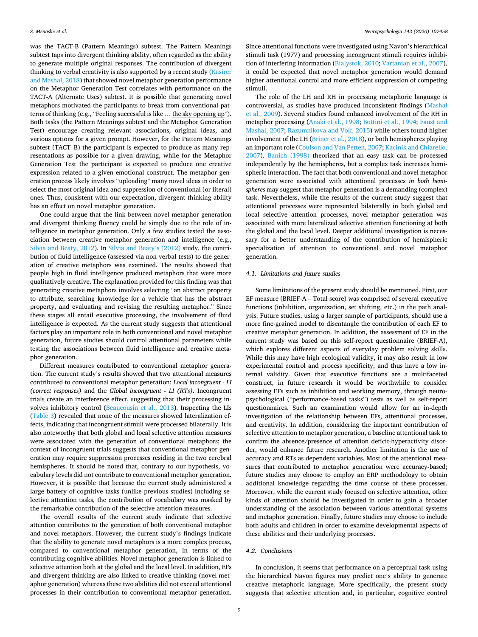was the TACT-B (Pattern Meanings) subtest. The Pattern Meanings subtest taps into divergent thinking ability, often regarded as the ability to generate multiple original responses. The contribution of divergent thinking to verbal creativity is also supported by a recent study ([Kasirer](#page-10-0)  [and Mashal, 2018](#page-10-0)) that showed novel metaphor generation performance on the Metaphor Generation Test correlates with performance on the TACT-A (Alternate Uses) subtest. It is possible that generating novel metaphors motivated the participants to break from conventional patterns of thinking (e.g., "Feeling successful is like … the sky opening up"). Both tasks (the Pattern Meanings subtest and the Metaphor Generation Test) encourage creating relevant associations, original ideas, and various options for a given prompt. However, for the Pattern Meanings subtest (TACT–B) the participant is expected to produce as many representations as possible for a given drawing, while for the Metaphor Generation Test the participant is expected to produce one creative expression related to a given emotional construct. The metaphor generation process likely involves "uploading" many novel ideas in order to select the most original idea and suppression of conventional (or literal) ones. Thus, consistent with our expectation, divergent thinking ability has an effect on novel metaphor generation.

One could argue that the link between novel metaphor generation and divergent thinking fluency could be simply due to the role of intelligence in metaphor generation. Only a few studies tested the association between creative metaphor generation and intelligence (e.g., [Silvia and Beaty, 2012\)](#page-10-0). In [Silvia and Beaty](#page-10-0)'s (2012) study, the contribution of fluid intelligence (assessed via non-verbal tests) to the generation of creative metaphors was examined. The results showed that people high in fluid intelligence produced metaphors that were more qualitatively creative. The explanation provided for this finding was that generating creative metaphors involves selecting "an abstract property to attribute, searching knowledge for a vehicle that has the abstract property, and evaluating and revising the resulting metaphor." Since these stages all entail executive processing, the involvement of fluid intelligence is expected. As the current study suggests that attentional factors play an important role in both conventional and novel metaphor generation, future studies should control attentional parameters while testing the associations between fluid intelligence and creative metaphor generation.

Different measures contributed to conventional metaphor generation. The current study's results showed that two attentional measures contributed to conventional metaphor generation: *Local incongruent - LI (correct responses)* and the *Global incongruent - LI (RTs)*. Incongruent trials create an interference effect, suggesting that their processing involves inhibitory control [\(Beaucousin et al., 2013\)](#page-9-0). Inspecting the LIs ([Table 3](#page-5-0)) revealed that none of the measures showed lateralization effects, indicating that incongruent stimuli were processed bilaterally. It is also noteworthy that both global and local selective attention measures were associated with the generation of conventional metaphors; the context of incongruent trials suggests that conventional metaphor generation may require suppression processes residing in the two cerebral hemispheres. It should be noted that, contrary to our hypothesis, vocabulary levels did not contribute to conventional metaphor generation. However, it is possible that because the current study administered a large battery of cognitive tasks (unlike previous studies) including selective attention tasks, the contribution of vocabulary was masked by the remarkable contribution of the selective attention measures.

The overall results of the current study indicate that selective attention contributes to the generation of both conventional metaphor and novel metaphors. However, the current study's findings indicate that the ability to generate novel metaphors is a more complex process, compared to conventional metaphor generation, in terms of the contributing cognitive abilities. Novel metaphor generation is linked to selective attention both at the global and the local level. In addition, EFs and divergent thinking are also linked to creative thinking (novel metaphor generation) whereas these two abilities did not exceed attentional processes in their contribution to conventional metaphor generation.

Since attentional functions were investigated using Navon's hierarchical stimuli task (1977) and processing incongruent stimuli requires inhibition of interfering information ([Bialystok, 2010](#page-9-0); [Vartanian et al., 2007](#page-10-0)), it could be expected that novel metaphor generation would demand higher attentional control and more efficient suppression of competing stimuli.

The role of the LH and RH in processing metaphoric language is controversial, as studies have produced inconsistent findings [\(Mashal](#page-10-0)  [et al., 2009\)](#page-10-0). Several studies found enhanced involvement of the RH in metaphor processing [\(Anaki et al., 1998](#page-9-0); [Bottini et al., 1994;](#page-9-0) [Faust and](#page-10-0)  [Mashal, 2007](#page-10-0); [Razumnikova and Volf, 2015](#page-10-0)) while others found higher involvement of the LH ([Briner et al., 2018\)](#page-9-0), or both hemispheres playing an important role [\(Coulson and Van Petten, 2007;](#page-9-0) [Kacinik and Chiarello,](#page-10-0)  [2007\)](#page-10-0). [Banich \(1998\)](#page-9-0) theorized that an easy task can be processed independently by the hemispheres, but a complex task increases hemispheric interaction. The fact that both conventional and novel metaphor generation were associated with attentional processes *in both hemispheres* may suggest that metaphor generation is a demanding (complex) task. Nevertheless, while the results of the current study suggest that attentional processes were represented bilaterally in both global and local selective attention processes, novel metaphor generation was associated with more lateralized selective attention functioning at both the global and the local level. Deeper additional investigation is necessary for a better understanding of the contribution of hemispheric specialization of attention to conventional and novel metaphor generation.

#### *4.1. Limitations and future studies*

Some limitations of the present study should be mentioned. First, our EF measure (BRIEF-A – Total score) was comprised of several executive functions (inhibition, organization, set shifting, etc.) in the path analysis. Future studies, using a larger sample of participants, should use a more fine-grained model to disentangle the contribution of each EF to creative metaphor generation. In addition, the assessment of EF in the current study was based on this self-report questionnaire (BRIEF-A), which explores different aspects of everyday problem solving skills. While this may have high ecological validity, it may also result in low experimental control and process specificity, and thus have a low internal validity. Given that executive functions are a multifaceted construct, in future research it would be worthwhile to consider assessing EFs such as inhibition and working memory, through neuropsychological ("performance-based tasks") tests as well as self-report questionnaires. Such an examination would allow for an in-depth investigation of the relationship between EFs, attentional processes, and creativity. In addition, considering the important contribution of selective attention to metaphor generation, a baseline attentional task to confirm the absence/presence of attention deficit-hyperactivity disorder, would enhance future research. Another limitation is the use of accuracy and RTs as dependent variables. Most of the attentional measures that contributed to metaphor generation were accuracy-based; future studies may choose to employ an ERP methodology to obtain additional knowledge regarding the time course of these processes. Moreover, while the current study focused on selective attention, other kinds of attention should be investigated in order to gain a broader understanding of the association between various attentional systems and metaphor generation. Finally, future studies may choose to include both adults and children in order to examine developmental aspects of these abilities and their underlying processes.

# *4.2. Conclusions*

In conclusion, it seems that performance on a perceptual task using the hierarchical Navon figures may predict one's ability to generate creative metaphoric language. More specifically, the present study suggests that selective attention and, in particular, cognitive control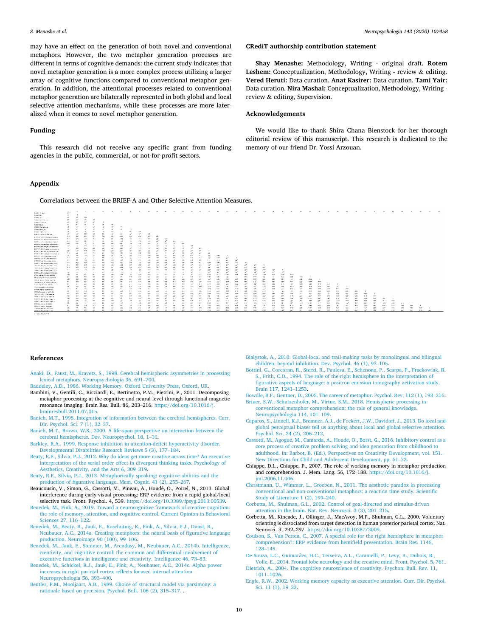<span id="page-9-0"></span>may have an effect on the generation of both novel and conventional metaphors. However, the two metaphor generation processes are different in terms of cognitive demands: the current study indicates that novel metaphor generation is a more complex process utilizing a larger array of cognitive functions compared to conventional metaphor generation. In addition, the attentional processes related to conventional metaphor generation are bilaterally represented in both global and local selective attention mechanisms, while these processes are more lateralized when it comes to novel metaphor generation.

## **Funding**

This research did not receive any specific grant from funding agencies in the public, commercial, or not-for-profit sectors.

# **Appendix**

Correlations between the BRIEF-A and Other Selective Attention Measures.

|                                                                            |                               |                          |                 | $\sim$                  | $\mathbf{r}$   |                   |                    | $\blacksquare$ |                       | $\mathbf{r}$         | $\mathbf{E}$           | $\mathbf{r}$ |            | $^{14}$    | $\mathbf{a}$ | $\mathbf{a}$   |                 |              |                | $\mathbb{R}^n$ |                |                          |               |                      |                |                   |                  |          | 18                    |              | $\mathbf{a}$ | 22                 | $\overline{a}$ | $\mathcal{D}_{\mathcal{A}}$ | 18             | <b>SEC</b>     | $\mathcal{M}$  | 28         | 1.81             | $\bullet$      | $\mathcal{A}$ | $\epsilon$ |
|----------------------------------------------------------------------------|-------------------------------|--------------------------|-----------------|-------------------------|----------------|-------------------|--------------------|----------------|-----------------------|----------------------|------------------------|--------------|------------|------------|--------------|----------------|-----------------|--------------|----------------|----------------|----------------|--------------------------|---------------|----------------------|----------------|-------------------|------------------|----------|-----------------------|--------------|--------------|--------------------|----------------|-----------------------------|----------------|----------------|----------------|------------|------------------|----------------|---------------|------------|
| Little follows:                                                            |                               |                          |                 |                         |                | $\rightarrow$     |                    |                |                       |                      |                        |              | 12         |            |              |                |                 | $\mathbf{m}$ |                |                | $\overline{a}$ |                          |               | $\overline{14}$      |                |                   | - 4              |          |                       | -8           |              |                    |                |                             |                |                |                |            |                  |                |               |            |
|                                                                            | W.                            |                          |                 |                         |                |                   |                    |                |                       |                      |                        |              |            |            |              |                |                 |              |                |                |                |                          |               |                      |                |                   |                  |          |                       |              |              |                    |                |                             |                |                |                |            |                  |                |               |            |
| <b>League Fair</b>                                                         | $\mathcal{L}$                 | ×.                       | $-1.3x$         |                         |                |                   |                    |                |                       |                      |                        |              |            |            |              |                |                 |              |                |                |                |                          |               |                      |                |                   |                  |          |                       |              |              |                    |                |                             |                |                |                |            |                  |                |               |            |
| 1 4000 00 0 0 0 0 0 0 0 0                                                  | $\mathbf{r}$                  | $\mathbf{e}^{\prime}$    | <b>ACC</b>      | $\omega$                |                |                   |                    |                |                       |                      |                        |              |            |            |              |                |                 |              |                |                |                |                          |               |                      |                |                   |                  |          |                       |              |              |                    |                |                             |                |                |                |            |                  |                |               |            |
| 1,580, 14, 549.6                                                           |                               |                          |                 |                         |                |                   |                    |                |                       |                      |                        |              |            |            |              |                |                 |              |                |                |                |                          |               |                      |                |                   |                  |          |                       |              |              |                    |                |                             |                |                |                |            |                  |                |               |            |
| 4-2862 - EPum                                                              | $\mathbb{R}^n$                | ×                        |                 | 257                     | $\overline{M}$ | $\mathbb{R}^n$    |                    |                |                       |                      |                        |              |            |            |              |                |                 |              |                |                |                |                          |               |                      |                |                   |                  |          |                       |              |              |                    |                |                             |                |                |                |            |                  |                |               |            |
| COMPLEMENTATION                                                            | $\epsilon$                    |                          |                 |                         |                |                   | 196                |                |                       |                      |                        |              |            |            |              |                |                 |              |                |                |                |                          |               |                      |                |                   |                  |          |                       |              |              |                    |                |                             |                |                |                |            |                  |                |               |            |
| CONTRADICTOR                                                               | ×.                            |                          |                 |                         |                |                   |                    |                |                       |                      |                        |              |            |            |              |                |                 |              |                |                |                |                          |               |                      |                |                   |                  |          |                       |              |              |                    |                |                             |                |                |                |            |                  |                |               |            |
| Vester Franken                                                             | $\cdot$                       |                          |                 | $\mathbf{r}$            |                | $\mathbf{v}$      |                    |                | 88.8                  |                      |                        |              |            |            |              |                |                 |              |                |                |                |                          |               |                      |                |                   |                  |          |                       |              |              |                    |                |                             |                |                |                |            |                  |                |               |            |
| <b>STAR of you as a subjet com-</b>                                        | w                             |                          |                 | $\overline{a}$          |                |                   |                    |                | $\overline{a}$        | <b>Lot</b>           |                        |              |            |            |              |                |                 |              |                |                |                |                          |               |                      |                |                   |                  |          |                       |              |              |                    |                |                             |                |                |                |            |                  |                |               |            |
|                                                                            | 4.3                           | $\lambda$                |                 |                         |                |                   | A6                 | $\Delta M$     | 43                    | AC <sup>4</sup>      | $\mu$                  |              |            |            |              |                |                 |              |                |                |                |                          |               |                      |                |                   |                  |          |                       |              |              |                    |                |                             |                |                |                |            |                  |                |               |            |
| I allowed a fift a not down angle 10<br><b>ANDVIOLA 1 NUMBER OF STREET</b> | 4.2                           | $\rightarrow \infty$     | $\rightarrow$   |                         |                |                   | AF)                | <b>MAR</b>     | $6 - 1$               | AC.                  | $\mathcal{D}^{\prime}$ | AN           |            |            |              |                |                 |              |                |                |                |                          |               |                      |                |                   |                  |          |                       |              |              |                    |                |                             |                |                |                |            |                  |                |               |            |
|                                                                            | $\mathbf{z} \in \mathbb{R}$ . | $\sim$                   |                 |                         |                |                   |                    |                | . .                   | 1880                 |                        |              | $\cdots$   |            |              |                |                 |              |                |                |                |                          |               |                      |                |                   |                  |          |                       |              |              |                    |                |                             |                |                |                |            |                  |                |               |            |
| UNITED STATES for the states?                                              |                               | $\ddot{\phantom{0}}$     | $\cdots$        | $\cdots$                | 18.9           |                   |                    |                | <b>13</b>             | <b>115</b>           |                        |              |            | <b>Tal</b> |              |                |                 |              |                |                |                |                          |               |                      |                |                   |                  |          |                       |              |              |                    |                |                             |                |                |                |            |                  |                |               |            |
| HDI-Link-league herrogen'                                                  | <b>A</b>                      | $\sim$                   | AB              |                         |                |                   | <b>ALC</b>         |                | a m                   |                      | <b>Selling</b>         | $^{\circ}$   |            |            | <b>ALC</b>   |                |                 |              |                |                |                |                          |               |                      |                |                   |                  |          |                       |              |              |                    |                |                             |                |                |                |            |                  |                |               |            |
| натуретурны-буджи дугатору со-                                             |                               | $-30%$                   |                 |                         |                |                   |                    |                |                       | ×.                   |                        | AB.          | 34         |            |              | 80             |                 |              |                |                |                |                          |               |                      |                |                   |                  |          |                       |              |              |                    |                |                             |                |                |                |            |                  |                |               |            |
| NAVER (Abd danger tunnings and                                             | 48                            |                          | 401             | $\overline{a}$          |                |                   |                    |                |                       |                      |                        | M            |            |            |              |                |                 |              |                |                |                |                          |               |                      |                |                   |                  |          |                       |              |              |                    |                |                             |                |                |                |            |                  |                |               |            |
| 1944 1444 Faxed man man 12                                                 | 4.3.                          |                          | $\Delta V$      |                         |                |                   |                    |                |                       | 48                   |                        |              |            |            |              |                | g)              |              |                |                |                |                          |               |                      |                |                   |                  |          |                       |              |              |                    |                |                             |                |                |                |            |                  |                |               |            |
| This is still in more form report?                                         | $\sim$                        | $\overline{\phantom{a}}$ | ALC:            |                         |                |                   |                    |                | $\sim$                | - 11                 |                        |              | m.         |            | 68           | 6.11           |                 | 10.5         |                |                |                |                          |               |                      |                |                   |                  |          |                       |              |              |                    |                |                             |                |                |                |            |                  |                |               |            |
| <b>SERVANT IN THE AUGUST TWO FIRMS</b>                                     | $\cdot$ $\cdot$               | 144                      |                 |                         |                |                   | $\sim$             |                | . .                   | <b>Built</b>         |                        |              |            |            | nE           | 8.18           |                 |              |                |                |                |                          |               |                      |                |                   |                  |          |                       |              |              |                    |                |                             |                |                |                |            |                  |                |               |            |
| 2010 NEW DESCRIPTION PROGRAM                                               | 4.8.                          | $\overline{\phantom{a}}$ | .58             | $\sim$ $\sim$           |                |                   | nd i               |                |                       | - 1                  |                        |              |            |            | $-11$        | $\blacksquare$ | $\cdot$ $-$     | 11.5         | $\overline{a}$ |                |                |                          |               |                      |                |                   |                  |          |                       |              |              |                    |                |                             |                |                |                |            |                  |                |               |            |
| J S-1-11 pub-Organization and                                              | $\mathbf{G}^{\mathbf{G}}$     | A                        | -87             | 6.23                    |                |                   |                    |                |                       | w                    |                        |              |            |            | <b>Sid</b>   | 42             | CSR             | ast.         | w              | m.             | $\mathcal{M}$  |                          |               |                      |                |                   |                  |          |                       |              |              |                    |                |                             |                |                |                |            |                  |                |               |            |
| DAVET Johnson code and                                                     | 4.5                           | $-3.02$                  | $-0.15$         | $\mathcal{L}$           |                |                   | a C                |                | ٠                     |                      |                        |              |            |            | ú.           | KJ3            | 145             | m            | ٠              |                |                |                          |               |                      |                |                   |                  |          |                       |              |              |                    |                |                             |                |                |                |            |                  |                |               |            |
| SANY (4) Add The performer field                                           | 4.3                           | $-25$                    | -93             |                         |                |                   |                    |                |                       | $\ddot{\phantom{a}}$ |                        |              |            |            |              |                |                 |              |                | s.             | 34             |                          | $\mathcal{L}$ |                      |                |                   |                  |          |                       |              |              |                    |                |                             |                |                |                |            |                  |                |               |            |
| <b>LEST-REAL TRADE ENGINEERS</b>                                           | 1.7.                          | 114                      | $\rightarrow$   | $^{+1}$                 |                |                   | os e               | m              |                       | 5.14                 |                        |              | 14         |            |              |                |                 |              |                | <b>AX</b>      | $\sim 10$      | V.                       | $38^{\circ}$  | 200                  |                |                   |                  |          |                       |              |              |                    |                |                             |                |                |                |            |                  |                |               |            |
| Think I right in a painting in an a                                        | $\overline{H}$                | <b>COL</b>               | 6.10            | 883                     |                |                   | 48                 |                |                       |                      |                        |              |            |            |              |                |                 |              |                |                | - 6            | ×¥                       |               |                      |                |                   |                  |          |                       |              |              |                    |                |                             |                |                |                |            |                  |                |               |            |
| 2400 Edit Administration between their                                     |                               |                          | 11.7            | $\rightarrow$           | -              |                   | m#1                |                | $\sim$ 10             | $-11$                |                        |              |            |            |              |                | a ma            |              |                | 189            | res in         | # 974                    | <b>LEM</b>    | <b>Indian</b>        | 58             | 1111              |                  |          |                       |              |              |                    |                |                             |                |                |                |            |                  |                |               |            |
| 2" List angrups-Margaranoveness                                            | $m$ <sup>*</sup>              | 15                       | <b>TTS</b>      | n <sub>1</sub>          |                |                   |                    |                | $\mathbf{H}$          | m                    |                        |              |            |            | 6.86         | <b>A.R.</b>    |                 |              |                |                | AF*            | $\cdots$                 | 14.           | 18                   | Kiel           | ssn.              | has.             | $\cdot$  |                       |              |              |                    |                |                             |                |                |                |            |                  |                |               |            |
| Machington-"Aria exists                                                    | 66                            | $-3.07$                  |                 | $\mathbf{H}$            |                |                   |                    |                |                       | m.                   |                        |              |            |            |              | u              |                 |              |                | (10)           | M.             |                          | <b>ACM</b>    | <b>MC</b>            | Ch.            |                   | $-1.38$          | axe.     |                       |              |              |                    |                |                             |                |                |                |            |                  |                |               |            |
| Stillard a suit Hyron reports,                                             | $\sim$                        | 49                       | <b>CM</b>       | $\overline{\mathbf{z}}$ |                |                   |                    |                |                       |                      |                        |              |            |            | 442          |                | <b>CEM</b>      |              |                | $\alpha$       | <b>M</b>       |                          | 6CM           | M                    | cin            | ALL C             | $-22$            | $-3.385$ | 60%                   |              |              |                    |                |                             |                |                |                |            |                  |                |               |            |
| Millen of a service of \$30 million a ser-                                 | 444                           | 2.8                      | <b>A</b>        | AH <sup>*</sup>         |                |                   |                    |                |                       |                      |                        | u            |            | 4.16       | $\mathbf{r}$ |                |                 | 544          |                | <b>CO</b>      |                |                          | 663           | <b>ME</b>            |                |                   | 3,800            | 191      | <b>ACC</b>            |              |              |                    |                |                             |                |                |                |            |                  |                |               |            |
| 3 Am Agris His Asset                                                       | 111                           | $\bullet$                | $\cdots$        |                         |                |                   |                    |                |                       |                      |                        |              |            | in in      | <b>A</b> 14  |                |                 | a ka         |                |                | $-29$          |                          | <b>CO</b>     | <b>Alle</b>          | $\overline{1}$ | 11.7              |                  | 8148     | 113                   | 188          | w            |                    |                |                             |                |                |                |            |                  |                |               |            |
| The changes in a material                                                  | $\rightarrow$                 | $\cdots$                 | 18.             | 44.7                    |                |                   |                    |                |                       |                      |                        |              | <b>ART</b> | $-8.4$     |              | 881            | . .             |              |                | $\cdots$       | 49.45          | 181                      |               | 1.441                |                | $117 -$           | 148              | 101      | 1.114                 | 14.4         |              | $-4V$              |                |                             |                |                |                |            |                  |                |               |            |
| 23 Edit courses - Mitselandes                                              | 4.88                          |                          | $-8.98$         | $-11$                   |                |                   | a.                 |                | 4.50                  | $\rightarrow$        | $\sim$                 | ٠.           | <b>ALC</b> | $-15$      | 4.76         | 4.54           | 4.913           | <b>STAR</b>  |                | $4 - 8$        | $-0.7$         | $\overline{\phantom{a}}$ | 4.59          | <b>A</b>             |                |                   | 3,06             |          | 6.79                  | 5.83         | 15.5         | 16.97              | $-1834$        | ×                           |                |                |                |            |                  |                |               |            |
| <b>SERVICES Bretty St.</b>                                                 | $\sim$                        | $\partial x$             | $5 -$           | ma.                     | 2.8            | ×.                |                    |                | <b>Co</b>             | $-45$                |                        |              | <b>SO</b>  | $-0.11$    | 45           | 458            | 5.00            | AC.          | <b>CKD</b>     | 498            |                | tto                      | <b>MK</b>     | 3.40                 | Ch3            | SEX.              | $\sim$           |          | $-$                   |              | $\cdots$     | <b>SO</b>          | $-100$         | $-223$                      |                |                |                |            |                  |                |               |            |
| NAVART will fill your important                                            | $46 -$                        | $-1V$                    |                 | M.                      |                |                   |                    |                |                       |                      |                        |              |            |            | $-462$       | $^{\prime}$    | 430             |              |                |                | A8             |                          | 127           | ida.                 |                |                   | ×.               |          | <b>MA</b>             |              | c in         | AZM.               |                | $5 - 3$                     | $\overline{a}$ |                |                |            |                  |                |               |            |
| 1000011.A 0033 80.000.00                                                   | $\alpha$                      | 48                       | $\rightarrow$ K |                         | 3X             |                   |                    |                |                       |                      |                        |              |            |            |              |                |                 |              |                | cc             | M1             |                          | A/X           | <b>VALUE</b>         |                |                   |                  |          |                       |              |              | 64.8               | $-3.1^{\circ}$ | 133                         |                |                |                |            |                  |                |               |            |
| SHEEK ROOM & Like Supported to the                                         | $-26$                         | <b>AW</b>                | $\cdots$        | 25                      | <b>ALC</b>     |                   |                    |                |                       |                      |                        |              |            |            | <b>Side</b>  | 8.18           |                 | $-14$        |                | 8.54           |                | 5.8%                     | $811 - 46$    | EW-                  | 188            |                   | <b>BLV</b>       |          |                       | -2           | <b>H</b>     |                    |                | <b>LEA</b>                  |                |                | 13.8           |            |                  |                |               |            |
| reason upon on the company                                                 | 181                           | 2.9                      |                 | 2.16                    |                |                   | 46                 |                |                       |                      |                        |              |            |            | 241          | 88.            | 1.7.4           |              | ٠.             |                | <b>But</b>     | 101                      | \$1,185       | <b>BR 1</b>          |                | 143               | 8988             |          | $^{\circ}$            |              | 13.6         |                    | $+4$           | 2.6.6                       | 887            | 15.5%          | # 2PK          | $-0.3$     |                  |                |               |            |
| 2010/02/2010 20:00:00                                                      | 4.7.                          | .114                     | -83             |                         |                |                   |                    |                |                       | $-14$                | m                      |              |            |            | $\mathbf{r}$ |                | $x$ as          | m            |                | 118            | $\mathbf{r}$   | v.                       | 4.06          | 1880                 | 184            |                   | 114              | 188.5    | $\mathbf{r}$          | 1.864        |              | <b>ALC</b>         |                | a sa                        | 150            | 186            | 12-1           | 880        | item.            |                |               |            |
| <6741 as-01 volving                                                        |                               | 2.75                     | <b>CSI</b>      | $^{12}$                 |                |                   |                    |                |                       | <b>Section</b>       |                        | ×.           |            |            | of the       | $+55$          |                 |              | 0.81           | 1,628          | <b>Lift</b>    |                          | .est          |                      |                |                   |                  | 130      |                       |              | <b>COL</b>   |                    | $-0.7$         | $\mathbf{v}$                |                |                |                |            |                  |                |               |            |
| - ISBN 944-47 pack-day                                                     | 45.5<br>4.6                   | $-10$                    | car.            | $-65$                   | 3.8<br>326     | nest<br>$X^{\mu}$ | max<br>$_{\alpha}$ | 13.40<br>AX    | <b>A</b><br><b>RE</b> | av2                  | <b>SP</b>              | 3.80         | $\epsilon$ | AC         | $-45$        | $-1$           | $-2767$<br>6.12 | sea?<br>evx- | $-0.36x$       | $400 -$        | <b>MC</b>      | 170<br>$-3.304$          |               | $\sim$<br><b>ARC</b> | car            | 456<br><b>AMT</b> | need.<br>Labor 1 | 49.09    | $+5.28$<br><b>SET</b> | 3.41<br>3.95 | CON          | $m\bar{u}$<br>9821 | -mail          | <b>ACC</b>                  | $+517$<br>4.58 | sant?<br>3,952 | China.<br>6.22 | w.N<br>240 | 766<br>- Sec. in | 49.9<br>$-453$ | $-100$        |            |
| 1000011-001012010101                                                       |                               |                          |                 |                         |                |                   |                    |                |                       |                      |                        |              |            |            |              |                |                 |              |                |                |                |                          | $\times 12$   |                      | $-10o$         |                   |                  |          |                       |              |              |                    |                |                             |                |                |                |            |                  |                |               |            |
| A. M. Box 84-55-78-98                                                      |                               |                          |                 |                         |                |                   |                    |                |                       |                      |                        |              |            |            |              |                |                 |              |                |                |                |                          |               |                      |                |                   |                  |          |                       |              |              |                    |                |                             |                |                |                |            |                  |                |               |            |

#### **References**

[Anaki, D., Faust, M., Kravetz, S., 1998. Cerebral hemispheric asymmetries in processing](http://refhub.elsevier.com/S0028-3932(20)30129-9/sref1)  [lexical metaphors. Neuropsychologia 36, 691](http://refhub.elsevier.com/S0028-3932(20)30129-9/sref1)–700.

[Baddeley, A.D., 1986. Working Memory. Oxford University Press, Oxford, UK.](http://refhub.elsevier.com/S0028-3932(20)30129-9/sref2)

- Bambini, V., Gentili, C., Ricciardi, E., Bertinetto, P.M., Pietrini, P., 2011. Decomposing metaphor processing at the cognitive and neural level through functional magnetic resonance imaging. Brain Res. Bull. 86, 203–216. [https://doi.org/10.1016/j.](https://doi.org/10.1016/j.brainresbull.2011.07.015)  [brainresbull.2011.07.015](https://doi.org/10.1016/j.brainresbull.2011.07.015).
- [Banich, M.T., 1998. Integration of information between the cerebral hemispheres. Curr.](http://refhub.elsevier.com/S0028-3932(20)30129-9/sref4)  [Dir. Psychol. Sci. 7 \(1\), 32](http://refhub.elsevier.com/S0028-3932(20)30129-9/sref4)–37.
- [Banich, M.T., Brown, W.S., 2000. A life-span perspective on interaction between the](http://refhub.elsevier.com/S0028-3932(20)30129-9/sref5)  [cerebral hemispheres. Dev. Neuropsychol. 18, 1](http://refhub.elsevier.com/S0028-3932(20)30129-9/sref5)–10.
- [Barkley, R.A., 1999. Response inhibition in attention-deficit hyperactivity disorder.](http://refhub.elsevier.com/S0028-3932(20)30129-9/sref6)  [Developmental Disabilities Research Reviews 5 \(3\), 177](http://refhub.elsevier.com/S0028-3932(20)30129-9/sref6)–184.
- [Beaty, R.E., Silvia, P.J., 2012. Why do ideas get more creative across time? An executive](http://refhub.elsevier.com/S0028-3932(20)30129-9/sref7)  [interpretation of the serial order effect in divergent thinking tasks. Psychology of](http://refhub.elsevier.com/S0028-3932(20)30129-9/sref7)  [Aesthetics, Creativity, and the Arts 6, 309](http://refhub.elsevier.com/S0028-3932(20)30129-9/sref7)–319.
- [Beaty, R.E., Silvia, P.J., 2013. Metaphorically speaking: cognitive abilities and the](http://refhub.elsevier.com/S0028-3932(20)30129-9/sref8) [production of figurative language. Mem. Cognit. 41 \(2\), 255](http://refhub.elsevier.com/S0028-3932(20)30129-9/sref8)–267.
- Beaucousin, V., Simon, G., Cassotti, M., Pineau, A., Houdé, O., Poirel, N., 2013. Global interference during early visual processing: ERP evidence from a rapid global/local selective task. Front. Psychol. 4, 539. [https://doi.org/10.3389/fpsyg.2013.00539.](https://doi.org/10.3389/fpsyg.2013.00539)
- [Benedek, M., Fink, A., 2019. Toward a neurocognitive framework of creative cognition:](http://refhub.elsevier.com/S0028-3932(20)30129-9/sref10)  [the role of memory, attention, and cognitive control. Current Opinion in Behavioral](http://refhub.elsevier.com/S0028-3932(20)30129-9/sref10)  [Sciences 27, 116](http://refhub.elsevier.com/S0028-3932(20)30129-9/sref10)–122.
- [Benedek, M., Beaty, R., Jauk, E., Koschutnig, K., Fink, A., Silvia, P.J., Dunst, B.,](http://refhub.elsevier.com/S0028-3932(20)30129-9/sref11)  [Neubauer, A.C., 2014a. Creating metaphors: the neural basis of figurative language](http://refhub.elsevier.com/S0028-3932(20)30129-9/sref11)  [production. Neuroimage 90 \(100\), 99](http://refhub.elsevier.com/S0028-3932(20)30129-9/sref11)–106.
- [Benedek, M., Jauk, E., Sommer, M., Arendasy, M., Neubauer, A.C., 2014b. Intelligence,](http://refhub.elsevier.com/S0028-3932(20)30129-9/sref12)  [creativity, and cognitive control: the common and differential involvement of](http://refhub.elsevier.com/S0028-3932(20)30129-9/sref12) [executive functions in intelligence and creativity. Intelligence 46, 73](http://refhub.elsevier.com/S0028-3932(20)30129-9/sref12)–83.
- [Benedek, M., Schickel, R.J., Jauk, E., Fink, A., Neubauer, A.C., 2014c. Alpha power](http://refhub.elsevier.com/S0028-3932(20)30129-9/sref13) [increases in right parietal cortex reflects focused internal attention.](http://refhub.elsevier.com/S0028-3932(20)30129-9/sref13)  [Neuropsychologia 56, 393](http://refhub.elsevier.com/S0028-3932(20)30129-9/sref13)–400.
- [Bentler, P.M., Mooijaart, A.B., 1989. Choice of structural model via parsimony: a](http://refhub.elsevier.com/S0028-3932(20)30129-9/sref14) [rationale based on precision. Psychol. Bull. 106 \(2\), 315](http://refhub.elsevier.com/S0028-3932(20)30129-9/sref14)–317. .
- [Bialystok, A., 2010. Global-local and trail-making tasks by monolingual and bilingual](http://refhub.elsevier.com/S0028-3932(20)30129-9/sref15) [children: beyond inhibition. Dev. Psychol. 46 \(1\), 93](http://refhub.elsevier.com/S0028-3932(20)30129-9/sref15)–105.
- [Bottini, G., Corcoran, R., Sterzi, R., Paulesu, E., Schenone, P., Scarpa, P., Frackowiak, R.](http://refhub.elsevier.com/S0028-3932(20)30129-9/sref16)  [S., Frith, C.D., 1994. The role of the right hemisphere in the interpretation of](http://refhub.elsevier.com/S0028-3932(20)30129-9/sref16)  [figurative aspects of language: a positron emission tomography activation study.](http://refhub.elsevier.com/S0028-3932(20)30129-9/sref16) [Brain 117, 1241](http://refhub.elsevier.com/S0028-3932(20)30129-9/sref16)–1253.

[Bowdle, B.F., Gentner, D., 2005. The career of metaphor. Psychol. Rev. 112 \(1\), 193](http://refhub.elsevier.com/S0028-3932(20)30129-9/sref17)–216. [Briner, S.W., Schutzenhofer, M., Virtue, S.M., 2018. Hemispheric processing in](http://refhub.elsevier.com/S0028-3932(20)30129-9/sref18)

[conventional metaphor comprehension: the role of general knowledge.](http://refhub.elsevier.com/S0028-3932(20)30129-9/sref18) [Neuropsychologia 114, 101](http://refhub.elsevier.com/S0028-3932(20)30129-9/sref18)–109.

- [Caparos, S., Linnell, K.J., Bremner, A.J., de Fockert, J.W., Davidoff, J., 2013. Do local and](http://refhub.elsevier.com/S0028-3932(20)30129-9/sref19)  [global perceptual biases tell us anything about local and global selective attention.](http://refhub.elsevier.com/S0028-3932(20)30129-9/sref19) [Psychol. Sci. 24 \(2\), 206](http://refhub.elsevier.com/S0028-3932(20)30129-9/sref19)–212.
- Cassotti, M., Agogu�e, M., Camarda, A., Houd�[e, O., Borst, G., 2016. Inhibitory control as a](http://refhub.elsevier.com/S0028-3932(20)30129-9/sref20)  [core process of creative problem solving and idea generation from childhood to](http://refhub.elsevier.com/S0028-3932(20)30129-9/sref20) [adulthood. In: Barbot, B. \(Ed.\), Perspectives on Creativity Development, vol. 151.](http://refhub.elsevier.com/S0028-3932(20)30129-9/sref20) [New Directions for Child and Adolescent Development, pp. 61](http://refhub.elsevier.com/S0028-3932(20)30129-9/sref20)–72.
- Chiappe, D.L., Chiappe, P., 2007. The role of working memory in metaphor production and comprehension. J. Mem. Lang. 56, 172–188. [https://doi.org/10.1016/j.](https://doi.org/10.1016/j.jml.2006.11.006)  iml.2006.11.006.
- [Christmann, U., Wimmer, L., Groeben, N., 2011. The aesthetic paradox in processing](http://refhub.elsevier.com/S0028-3932(20)30129-9/sref22) [conventional and non-conventional metaphors: a reaction time study. Scientific](http://refhub.elsevier.com/S0028-3932(20)30129-9/sref22) [Study of Literature 1 \(2\), 199](http://refhub.elsevier.com/S0028-3932(20)30129-9/sref22)–240.
- [Corbetta, M., Shulman, G.L., 2002. Control of goal-directed and stimulus-driven](http://refhub.elsevier.com/S0028-3932(20)30129-9/sref23)  [attention in the brain. Nat. Rev. Neurosci. 3 \(3\), 201](http://refhub.elsevier.com/S0028-3932(20)30129-9/sref23)–215.
- Corbetta, M., Kincade, J., Ollinger, J., MacAvoy, M.P., Shulman, G.L., 2000. Voluntary orienting is dissociated from target detection in human posterior parietal cortex. Nat. Neurosci. 3, 292–297.<https://doi.org/10.1038/73009>.
- [Coulson, S., Van Petten, C., 2007. A special role for the right hemisphere in metaphor](http://refhub.elsevier.com/S0028-3932(20)30129-9/sref25)  [comprehension?: ERP evidence from hemifield presentation. Brain Res. 1146,](http://refhub.elsevier.com/S0028-3932(20)30129-9/sref25)  128–[145](http://refhub.elsevier.com/S0028-3932(20)30129-9/sref25).
- De Souza, L.C., Guimarães, H.C., Teixeira, A.L., Caramelli, P., Levy, R., Dubois, B.,
- [Volle, E., 2014. Frontal lobe neurology and the creative mind. Front. Psychol. 5, 761.](http://refhub.elsevier.com/S0028-3932(20)30129-9/sref26) [Dietrich, A., 2004. The cognitive neuroscience of creativity. Psychon. Bull. Rev. 11,](http://refhub.elsevier.com/S0028-3932(20)30129-9/sref27) [1011](http://refhub.elsevier.com/S0028-3932(20)30129-9/sref27)–1026.
- [Engle, R.W., 2002. Working memory capacity as executive attention. Curr. Dir. Psychol.](http://refhub.elsevier.com/S0028-3932(20)30129-9/sref28)  [Sci. 11 \(1\), 19](http://refhub.elsevier.com/S0028-3932(20)30129-9/sref28)–23.

We would like to thank Shira Chana Bienstock for her thorough editorial review of this manuscript. This research is dedicated to the memory of our friend Dr. Yossi Arzouan.

**Shay Menashe:** Methodology, Writing - original draft. **Rotem**  Leshem: Conceptualization, Methodology, Writing - review & editing. **Vered Heruti:** Data curation. **Anat Kasirer:** Data curation. **Tami Yair:**  Data curation. **Nira Mashal:** Conceptualization, Methodology, Writing -

**CRediT authorship contribution statement** 

review & editing, Supervision.

**Acknowledgements**